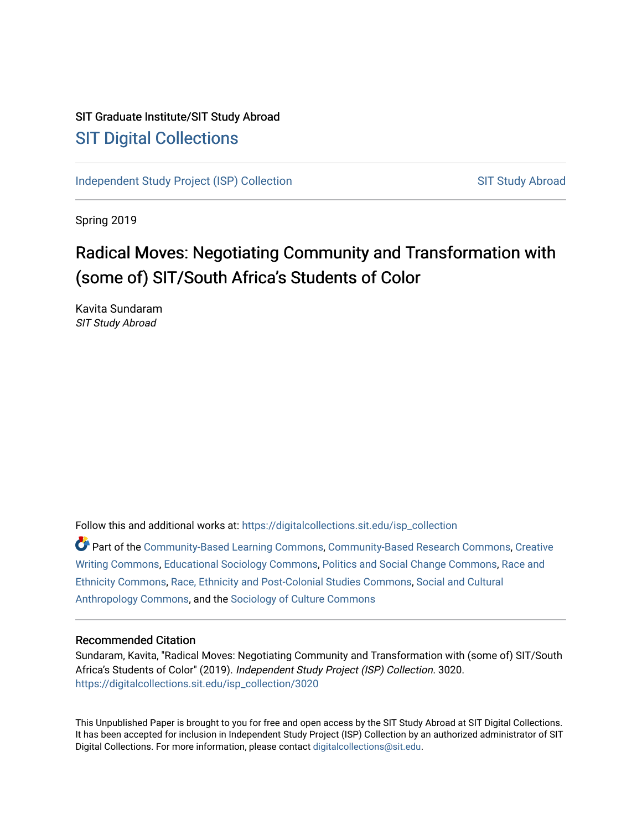## SIT Graduate Institute/SIT Study Abroad [SIT Digital Collections](https://digitalcollections.sit.edu/)

[Independent Study Project \(ISP\) Collection](https://digitalcollections.sit.edu/isp_collection) [SIT Study Abroad](https://digitalcollections.sit.edu/study_abroad) SIT Study Abroad

Spring 2019

# Radical Moves: Negotiating Community and Transformation with (some of) SIT/South Africa's Students of Color

Kavita Sundaram SIT Study Abroad

Follow this and additional works at: [https://digitalcollections.sit.edu/isp\\_collection](https://digitalcollections.sit.edu/isp_collection?utm_source=digitalcollections.sit.edu%2Fisp_collection%2F3020&utm_medium=PDF&utm_campaign=PDFCoverPages) 

Part of the [Community-Based Learning Commons,](http://network.bepress.com/hgg/discipline/1046?utm_source=digitalcollections.sit.edu%2Fisp_collection%2F3020&utm_medium=PDF&utm_campaign=PDFCoverPages) [Community-Based Research Commons](http://network.bepress.com/hgg/discipline/1047?utm_source=digitalcollections.sit.edu%2Fisp_collection%2F3020&utm_medium=PDF&utm_campaign=PDFCoverPages), [Creative](http://network.bepress.com/hgg/discipline/574?utm_source=digitalcollections.sit.edu%2Fisp_collection%2F3020&utm_medium=PDF&utm_campaign=PDFCoverPages)  [Writing Commons,](http://network.bepress.com/hgg/discipline/574?utm_source=digitalcollections.sit.edu%2Fisp_collection%2F3020&utm_medium=PDF&utm_campaign=PDFCoverPages) [Educational Sociology Commons](http://network.bepress.com/hgg/discipline/1071?utm_source=digitalcollections.sit.edu%2Fisp_collection%2F3020&utm_medium=PDF&utm_campaign=PDFCoverPages), [Politics and Social Change Commons](http://network.bepress.com/hgg/discipline/425?utm_source=digitalcollections.sit.edu%2Fisp_collection%2F3020&utm_medium=PDF&utm_campaign=PDFCoverPages), [Race and](http://network.bepress.com/hgg/discipline/426?utm_source=digitalcollections.sit.edu%2Fisp_collection%2F3020&utm_medium=PDF&utm_campaign=PDFCoverPages)  [Ethnicity Commons,](http://network.bepress.com/hgg/discipline/426?utm_source=digitalcollections.sit.edu%2Fisp_collection%2F3020&utm_medium=PDF&utm_campaign=PDFCoverPages) [Race, Ethnicity and Post-Colonial Studies Commons,](http://network.bepress.com/hgg/discipline/566?utm_source=digitalcollections.sit.edu%2Fisp_collection%2F3020&utm_medium=PDF&utm_campaign=PDFCoverPages) [Social and Cultural](http://network.bepress.com/hgg/discipline/323?utm_source=digitalcollections.sit.edu%2Fisp_collection%2F3020&utm_medium=PDF&utm_campaign=PDFCoverPages) [Anthropology Commons](http://network.bepress.com/hgg/discipline/323?utm_source=digitalcollections.sit.edu%2Fisp_collection%2F3020&utm_medium=PDF&utm_campaign=PDFCoverPages), and the [Sociology of Culture Commons](http://network.bepress.com/hgg/discipline/431?utm_source=digitalcollections.sit.edu%2Fisp_collection%2F3020&utm_medium=PDF&utm_campaign=PDFCoverPages)

#### Recommended Citation

Sundaram, Kavita, "Radical Moves: Negotiating Community and Transformation with (some of) SIT/South Africa's Students of Color" (2019). Independent Study Project (ISP) Collection. 3020. [https://digitalcollections.sit.edu/isp\\_collection/3020](https://digitalcollections.sit.edu/isp_collection/3020?utm_source=digitalcollections.sit.edu%2Fisp_collection%2F3020&utm_medium=PDF&utm_campaign=PDFCoverPages) 

This Unpublished Paper is brought to you for free and open access by the SIT Study Abroad at SIT Digital Collections. It has been accepted for inclusion in Independent Study Project (ISP) Collection by an authorized administrator of SIT Digital Collections. For more information, please contact [digitalcollections@sit.edu.](mailto:digitalcollections@sit.edu)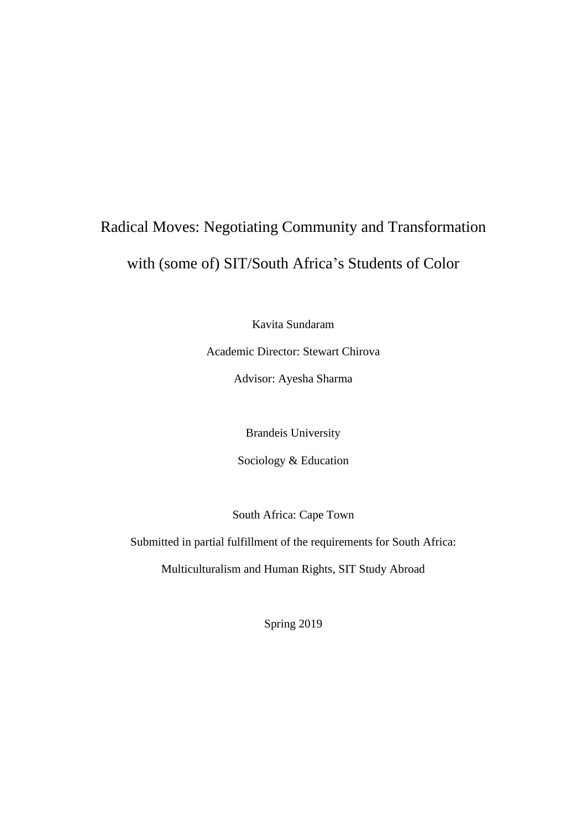# Radical Moves: Negotiating Community and Transformation with (some of) SIT/South Africa's Students of Color

Kavita Sundaram

Academic Director: Stewart Chirova

Advisor: Ayesha Sharma

Brandeis University

Sociology & Education

South Africa: Cape Town

Submitted in partial fulfillment of the requirements for South Africa:

Multiculturalism and Human Rights, SIT Study Abroad

Spring 2019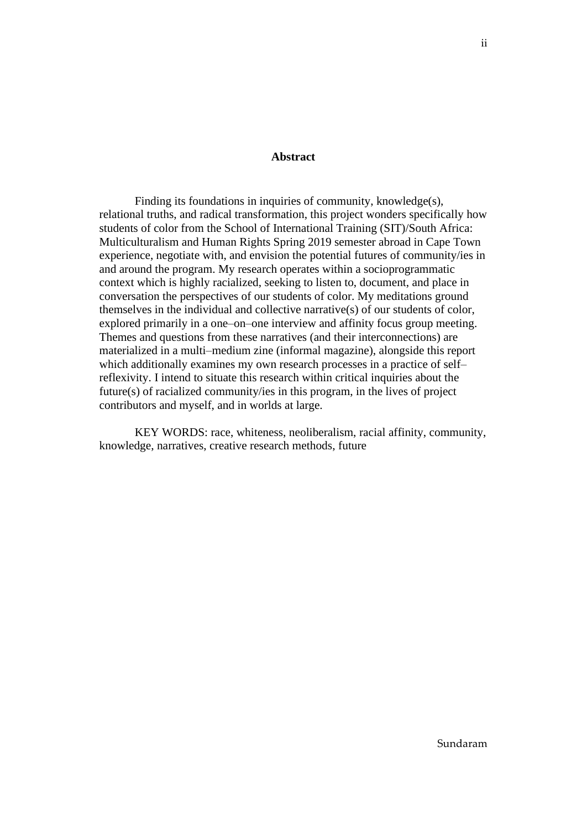#### **Abstract**

<span id="page-2-0"></span>Finding its foundations in inquiries of community, knowledge(s), relational truths, and radical transformation, this project wonders specifically how students of color from the School of International Training (SIT)/South Africa: Multiculturalism and Human Rights Spring 2019 semester abroad in Cape Town experience, negotiate with, and envision the potential futures of community/ies in and around the program. My research operates within a socioprogrammatic context which is highly racialized, seeking to listen to, document, and place in conversation the perspectives of our students of color. My meditations ground themselves in the individual and collective narrative(s) of our students of color, explored primarily in a one–on–one interview and affinity focus group meeting. Themes and questions from these narratives (and their interconnections) are materialized in a multi–medium zine (informal magazine), alongside this report which additionally examines my own research processes in a practice of self– reflexivity. I intend to situate this research within critical inquiries about the future(s) of racialized community/ies in this program, in the lives of project contributors and myself, and in worlds at large.

KEY WORDS: race, whiteness, neoliberalism, racial affinity, community, knowledge, narratives, creative research methods, future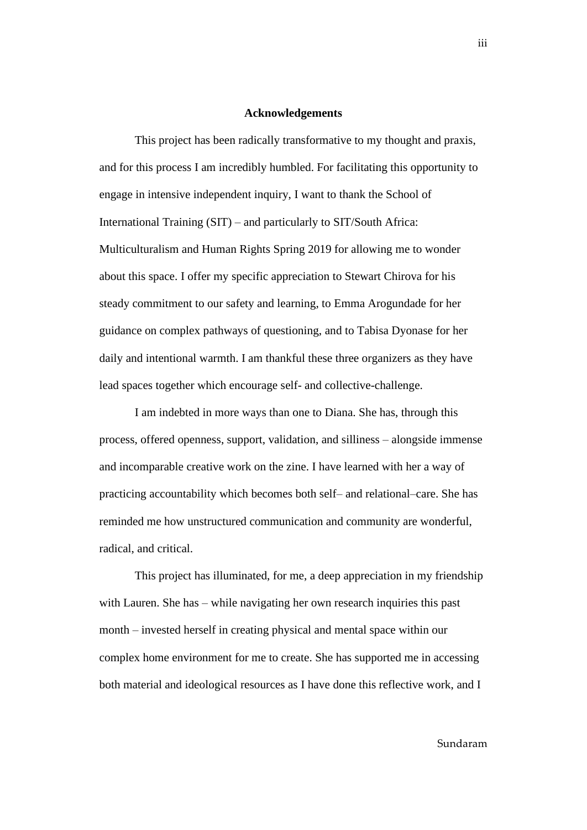#### **Acknowledgements**

<span id="page-3-0"></span>This project has been radically transformative to my thought and praxis, and for this process I am incredibly humbled. For facilitating this opportunity to engage in intensive independent inquiry, I want to thank the School of International Training (SIT) – and particularly to SIT/South Africa: Multiculturalism and Human Rights Spring 2019 for allowing me to wonder about this space. I offer my specific appreciation to Stewart Chirova for his steady commitment to our safety and learning, to Emma Arogundade for her guidance on complex pathways of questioning, and to Tabisa Dyonase for her daily and intentional warmth. I am thankful these three organizers as they have lead spaces together which encourage self- and collective-challenge.

I am indebted in more ways than one to Diana. She has, through this process, offered openness, support, validation, and silliness – alongside immense and incomparable creative work on the zine. I have learned with her a way of practicing accountability which becomes both self– and relational–care. She has reminded me how unstructured communication and community are wonderful, radical, and critical.

This project has illuminated, for me, a deep appreciation in my friendship with Lauren. She has – while navigating her own research inquiries this past month – invested herself in creating physical and mental space within our complex home environment for me to create. She has supported me in accessing both material and ideological resources as I have done this reflective work, and I

#### Sundaram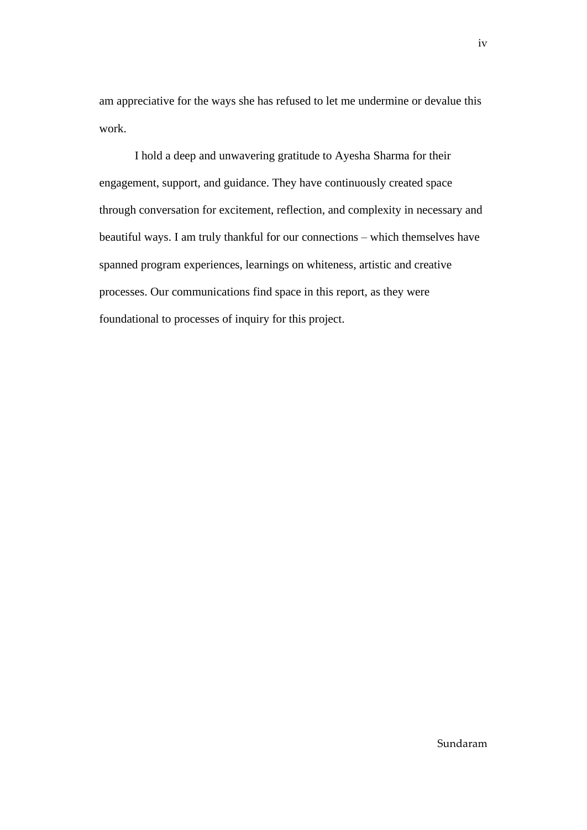am appreciative for the ways she has refused to let me undermine or devalue this work.

I hold a deep and unwavering gratitude to Ayesha Sharma for their engagement, support, and guidance. They have continuously created space through conversation for excitement, reflection, and complexity in necessary and beautiful ways. I am truly thankful for our connections – which themselves have spanned program experiences, learnings on whiteness, artistic and creative processes. Our communications find space in this report, as they were foundational to processes of inquiry for this project.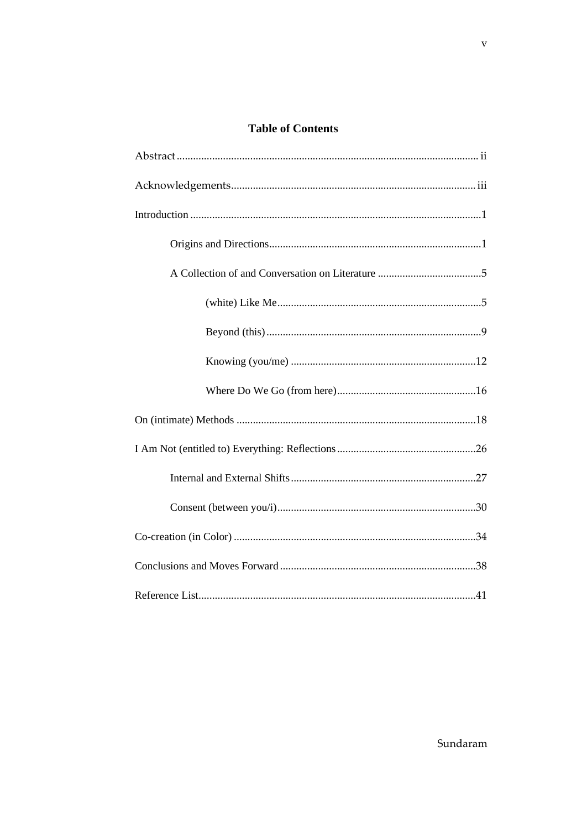### **Table of Contents**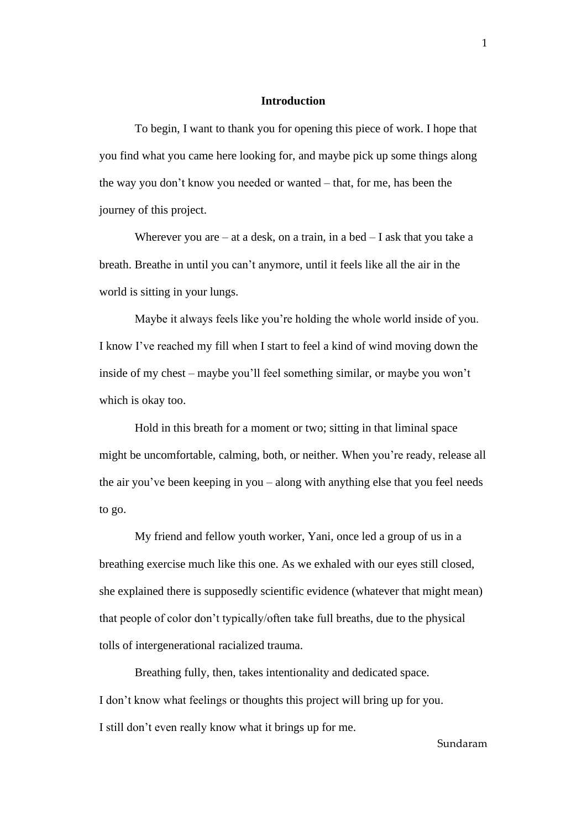#### **Introduction**

<span id="page-6-0"></span>To begin, I want to thank you for opening this piece of work. I hope that you find what you came here looking for, and maybe pick up some things along the way you don't know you needed or wanted – that, for me, has been the journey of this project.

Wherever you are  $-$  at a desk, on a train, in a bed  $-$  I ask that you take a breath. Breathe in until you can't anymore, until it feels like all the air in the world is sitting in your lungs.

Maybe it always feels like you're holding the whole world inside of you. I know I've reached my fill when I start to feel a kind of wind moving down the inside of my chest – maybe you'll feel something similar, or maybe you won't which is okay too.

Hold in this breath for a moment or two; sitting in that liminal space might be uncomfortable, calming, both, or neither. When you're ready, release all the air you've been keeping in you – along with anything else that you feel needs to go.

My friend and fellow youth worker, Yani, once led a group of us in a breathing exercise much like this one. As we exhaled with our eyes still closed, she explained there is supposedly scientific evidence (whatever that might mean) that people of color don't typically/often take full breaths, due to the physical tolls of intergenerational racialized trauma.

Breathing fully, then, takes intentionality and dedicated space. I don't know what feelings or thoughts this project will bring up for you. I still don't even really know what it brings up for me.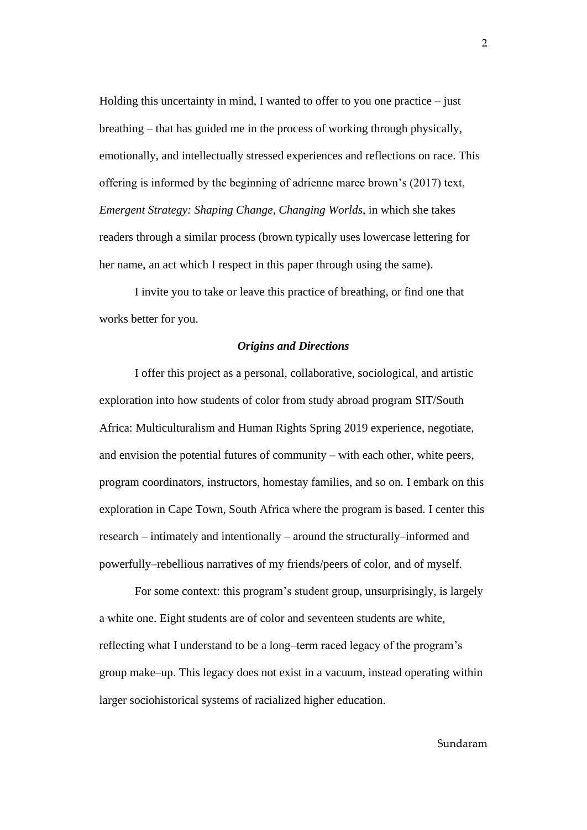Holding this uncertainty in mind, I wanted to offer to you one practice  $-$  just breathing – that has guided me in the process of working through physically, emotionally, and intellectually stressed experiences and reflections on race. This offering is informed by the beginning of adrienne maree brown's (2017) text, *Emergent Strategy: Shaping Change, Changing Worlds*, in which she takes readers through a similar process (brown typically uses lowercase lettering for her name, an act which I respect in this paper through using the same).

I invite you to take or leave this practice of breathing, or find one that works better for you.

#### *Origins and Directions*

I offer this project as a personal, collaborative, sociological, and artistic exploration into how students of color from study abroad program SIT/South Africa: Multiculturalism and Human Rights Spring 2019 experience, negotiate, and envision the potential futures of community – with each other, white peers, program coordinators, instructors, homestay families, and so on. I embark on this exploration in Cape Town, South Africa where the program is based. I center this research – intimately and intentionally – around the structurally–informed and powerfully–rebellious narratives of my friends/peers of color, and of myself.

For some context: this program's student group, unsurprisingly, is largely a white one. Eight students are of color and seventeen students are white, reflecting what I understand to be a long–term raced legacy of the program's group make–up. This legacy does not exist in a vacuum, instead operating within larger sociohistorical systems of racialized higher education.

2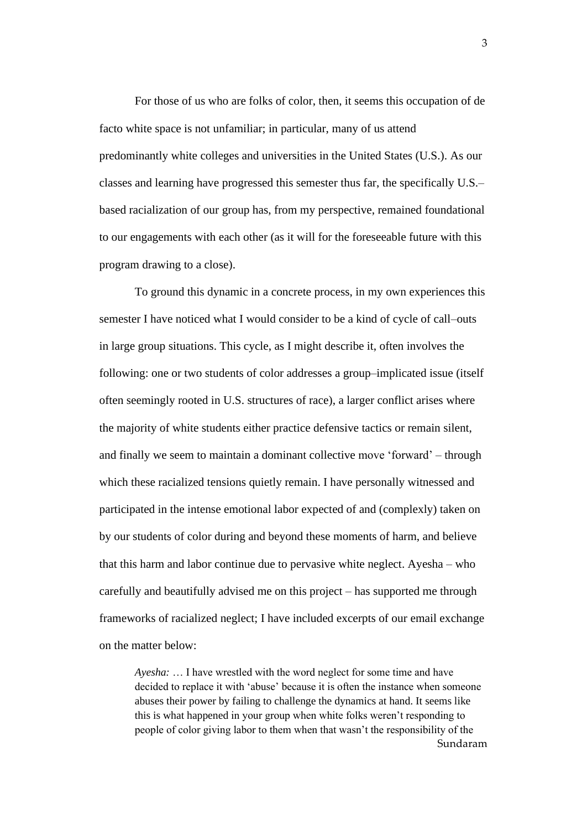For those of us who are folks of color, then, it seems this occupation of de facto white space is not unfamiliar; in particular, many of us attend predominantly white colleges and universities in the United States (U.S.). As our classes and learning have progressed this semester thus far, the specifically U.S.– based racialization of our group has, from my perspective, remained foundational to our engagements with each other (as it will for the foreseeable future with this program drawing to a close).

To ground this dynamic in a concrete process, in my own experiences this semester I have noticed what I would consider to be a kind of cycle of call–outs in large group situations. This cycle, as I might describe it, often involves the following: one or two students of color addresses a group–implicated issue (itself often seemingly rooted in U.S. structures of race), a larger conflict arises where the majority of white students either practice defensive tactics or remain silent, and finally we seem to maintain a dominant collective move 'forward' – through which these racialized tensions quietly remain. I have personally witnessed and participated in the intense emotional labor expected of and (complexly) taken on by our students of color during and beyond these moments of harm, and believe that this harm and labor continue due to pervasive white neglect. Ayesha – who carefully and beautifully advised me on this project – has supported me through frameworks of racialized neglect; I have included excerpts of our email exchange on the matter below:

Sundaram *Ayesha:* … I have wrestled with the word neglect for some time and have decided to replace it with 'abuse' because it is often the instance when someone abuses their power by failing to challenge the dynamics at hand. It seems like this is what happened in your group when white folks weren't responding to people of color giving labor to them when that wasn't the responsibility of the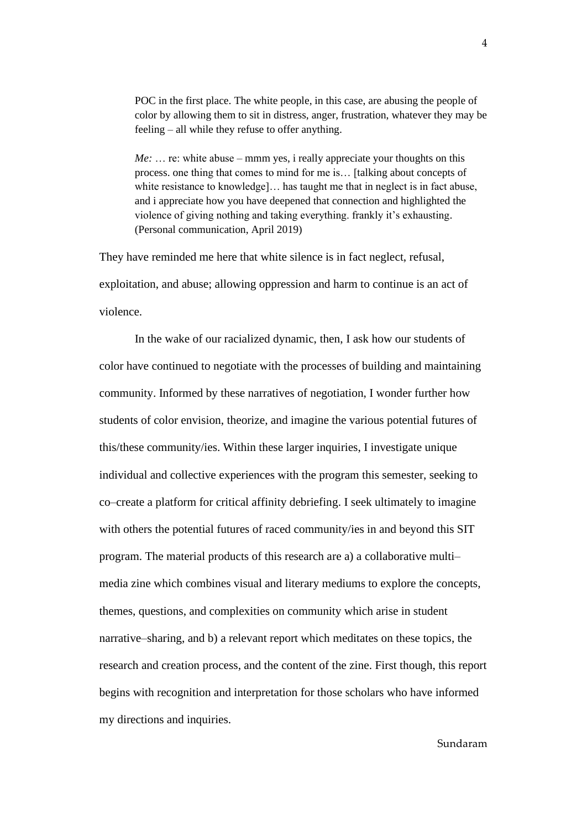POC in the first place. The white people, in this case, are abusing the people of color by allowing them to sit in distress, anger, frustration, whatever they may be feeling – all while they refuse to offer anything.

*Me:* ... re: white abuse – mmm yes, i really appreciate your thoughts on this process. one thing that comes to mind for me is… [talking about concepts of white resistance to knowledge]... has taught me that in neglect is in fact abuse, and i appreciate how you have deepened that connection and highlighted the violence of giving nothing and taking everything. frankly it's exhausting. (Personal communication, April 2019)

They have reminded me here that white silence is in fact neglect, refusal, exploitation, and abuse; allowing oppression and harm to continue is an act of violence.

In the wake of our racialized dynamic, then, I ask how our students of color have continued to negotiate with the processes of building and maintaining community. Informed by these narratives of negotiation, I wonder further how students of color envision, theorize, and imagine the various potential futures of this/these community/ies. Within these larger inquiries, I investigate unique individual and collective experiences with the program this semester, seeking to co–create a platform for critical affinity debriefing. I seek ultimately to imagine with others the potential futures of raced community/ies in and beyond this SIT program. The material products of this research are a) a collaborative multi– media zine which combines visual and literary mediums to explore the concepts, themes, questions, and complexities on community which arise in student narrative–sharing, and b) a relevant report which meditates on these topics, the research and creation process, and the content of the zine. First though, this report begins with recognition and interpretation for those scholars who have informed my directions and inquiries.

#### 4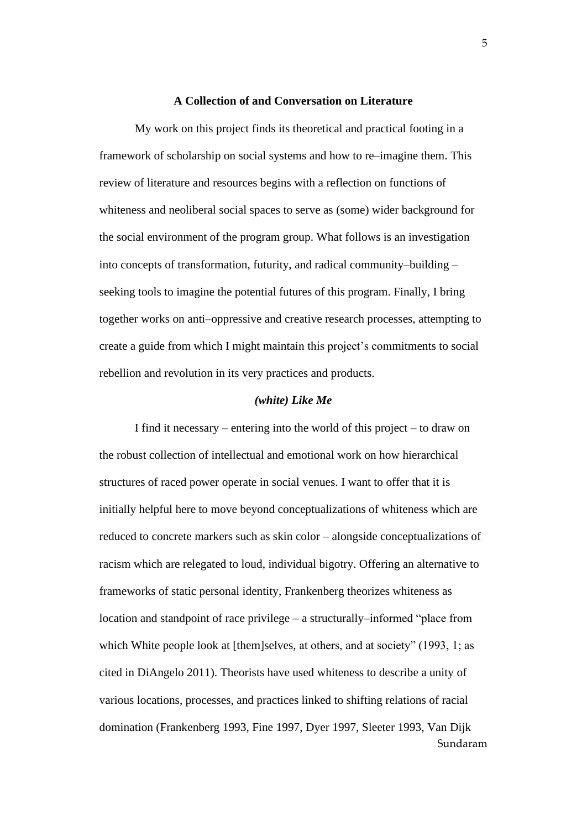#### **A Collection of and Conversation on Literature**

My work on this project finds its theoretical and practical footing in a framework of scholarship on social systems and how to re–imagine them. This review of literature and resources begins with a reflection on functions of whiteness and neoliberal social spaces to serve as (some) wider background for the social environment of the program group. What follows is an investigation into concepts of transformation, futurity, and radical community–building – seeking tools to imagine the potential futures of this program. Finally, I bring together works on anti–oppressive and creative research processes, attempting to create a guide from which I might maintain this project's commitments to social rebellion and revolution in its very practices and products.

#### *(white) Like Me*

Sundaram I find it necessary – entering into the world of this project – to draw on the robust collection of intellectual and emotional work on how hierarchical structures of raced power operate in social venues. I want to offer that it is initially helpful here to move beyond conceptualizations of whiteness which are reduced to concrete markers such as skin color – alongside conceptualizations of racism which are relegated to loud, individual bigotry. Offering an alternative to frameworks of static personal identity, Frankenberg theorizes whiteness as location and standpoint of race privilege – a structurally–informed "place from which White people look at [them]selves, at others, and at society" (1993, 1; as cited in DiAngelo 2011). Theorists have used whiteness to describe a unity of various locations, processes, and practices linked to shifting relations of racial domination (Frankenberg 1993, Fine 1997, Dyer 1997, Sleeter 1993, Van Dijk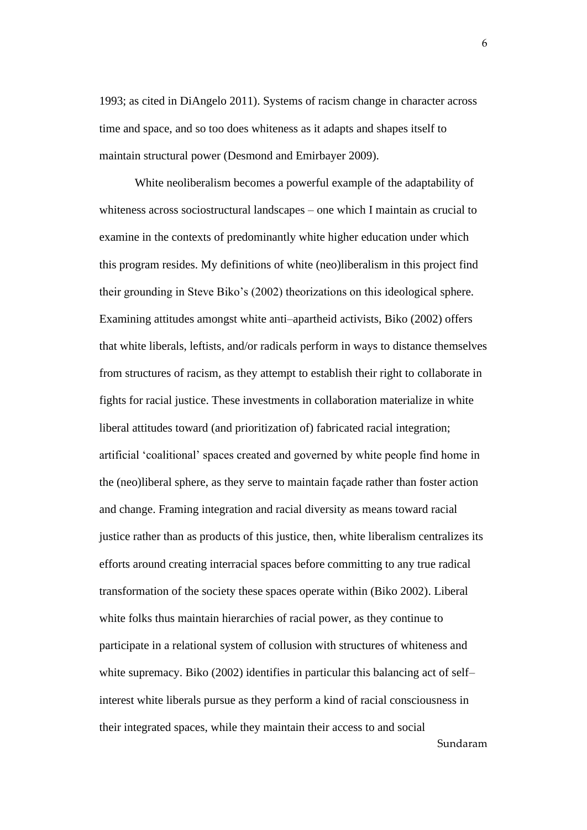1993; as cited in DiAngelo 2011). Systems of racism change in character across time and space, and so too does whiteness as it adapts and shapes itself to maintain structural power (Desmond and Emirbayer 2009).

Sundaram White neoliberalism becomes a powerful example of the adaptability of whiteness across sociostructural landscapes – one which I maintain as crucial to examine in the contexts of predominantly white higher education under which this program resides. My definitions of white (neo)liberalism in this project find their grounding in Steve Biko's (2002) theorizations on this ideological sphere. Examining attitudes amongst white anti–apartheid activists, Biko (2002) offers that white liberals, leftists, and/or radicals perform in ways to distance themselves from structures of racism, as they attempt to establish their right to collaborate in fights for racial justice. These investments in collaboration materialize in white liberal attitudes toward (and prioritization of) fabricated racial integration; artificial 'coalitional' spaces created and governed by white people find home in the (neo)liberal sphere, as they serve to maintain façade rather than foster action and change. Framing integration and racial diversity as means toward racial justice rather than as products of this justice, then, white liberalism centralizes its efforts around creating interracial spaces before committing to any true radical transformation of the society these spaces operate within (Biko 2002). Liberal white folks thus maintain hierarchies of racial power, as they continue to participate in a relational system of collusion with structures of whiteness and white supremacy. Biko (2002) identifies in particular this balancing act of self– interest white liberals pursue as they perform a kind of racial consciousness in their integrated spaces, while they maintain their access to and social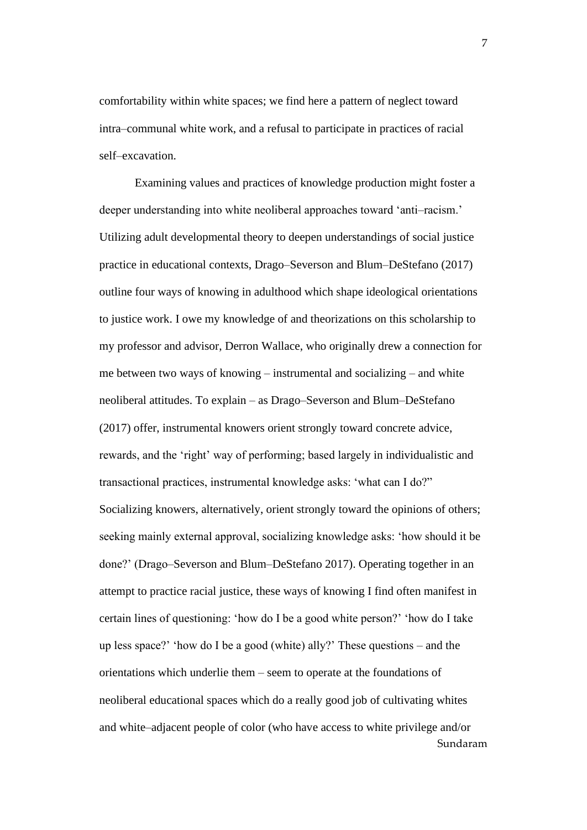comfortability within white spaces; we find here a pattern of neglect toward intra–communal white work, and a refusal to participate in practices of racial self–excavation.

Sundaram Examining values and practices of knowledge production might foster a deeper understanding into white neoliberal approaches toward 'anti–racism.' Utilizing adult developmental theory to deepen understandings of social justice practice in educational contexts, Drago–Severson and Blum–DeStefano (2017) outline four ways of knowing in adulthood which shape ideological orientations to justice work. I owe my knowledge of and theorizations on this scholarship to my professor and advisor, Derron Wallace, who originally drew a connection for me between two ways of knowing – instrumental and socializing – and white neoliberal attitudes. To explain – as Drago–Severson and Blum–DeStefano (2017) offer, instrumental knowers orient strongly toward concrete advice, rewards, and the 'right' way of performing; based largely in individualistic and transactional practices, instrumental knowledge asks: 'what can I do?" Socializing knowers, alternatively, orient strongly toward the opinions of others; seeking mainly external approval, socializing knowledge asks: 'how should it be done?' (Drago–Severson and Blum–DeStefano 2017). Operating together in an attempt to practice racial justice, these ways of knowing I find often manifest in certain lines of questioning: 'how do I be a good white person?' 'how do I take up less space?' 'how do I be a good (white) ally?' These questions – and the orientations which underlie them – seem to operate at the foundations of neoliberal educational spaces which do a really good job of cultivating whites and white–adjacent people of color (who have access to white privilege and/or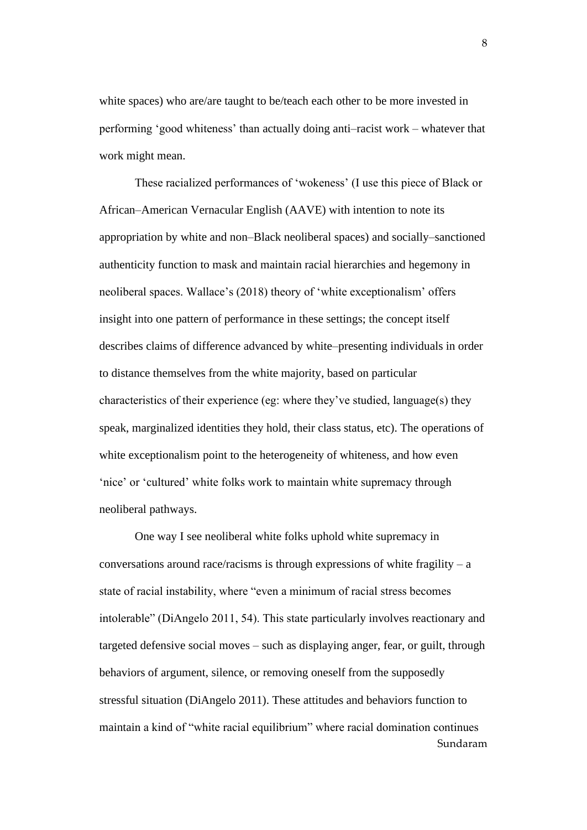white spaces) who are/are taught to be/teach each other to be more invested in performing 'good whiteness' than actually doing anti–racist work – whatever that work might mean.

These racialized performances of 'wokeness' (I use this piece of Black or African–American Vernacular English (AAVE) with intention to note its appropriation by white and non–Black neoliberal spaces) and socially–sanctioned authenticity function to mask and maintain racial hierarchies and hegemony in neoliberal spaces. Wallace's (2018) theory of 'white exceptionalism' offers insight into one pattern of performance in these settings; the concept itself describes claims of difference advanced by white–presenting individuals in order to distance themselves from the white majority, based on particular characteristics of their experience (eg: where they've studied, language(s) they speak, marginalized identities they hold, their class status, etc). The operations of white exceptionalism point to the heterogeneity of whiteness, and how even 'nice' or 'cultured' white folks work to maintain white supremacy through neoliberal pathways.

Sundaram One way I see neoliberal white folks uphold white supremacy in conversations around race/racisms is through expressions of white fragility –  $a$ state of racial instability, where "even a minimum of racial stress becomes intolerable" (DiAngelo 2011, 54). This state particularly involves reactionary and targeted defensive social moves – such as displaying anger, fear, or guilt, through behaviors of argument, silence, or removing oneself from the supposedly stressful situation (DiAngelo 2011). These attitudes and behaviors function to maintain a kind of "white racial equilibrium" where racial domination continues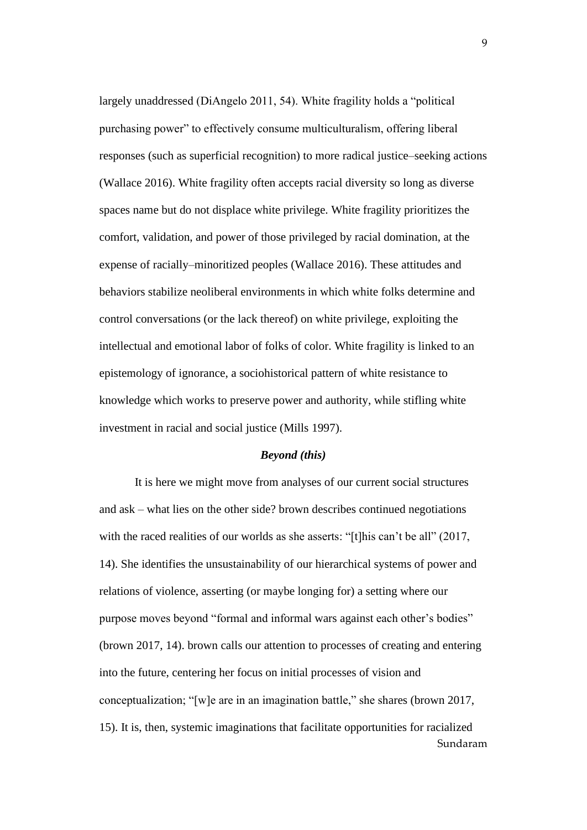largely unaddressed (DiAngelo 2011, 54). White fragility holds a "political purchasing power" to effectively consume multiculturalism, offering liberal responses (such as superficial recognition) to more radical justice–seeking actions (Wallace 2016). White fragility often accepts racial diversity so long as diverse spaces name but do not displace white privilege. White fragility prioritizes the comfort, validation, and power of those privileged by racial domination, at the expense of racially–minoritized peoples (Wallace 2016). These attitudes and behaviors stabilize neoliberal environments in which white folks determine and control conversations (or the lack thereof) on white privilege, exploiting the intellectual and emotional labor of folks of color. White fragility is linked to an epistemology of ignorance, a sociohistorical pattern of white resistance to knowledge which works to preserve power and authority, while stifling white investment in racial and social justice (Mills 1997).

#### *Beyond (this)*

Sundaram It is here we might move from analyses of our current social structures and ask – what lies on the other side? brown describes continued negotiations with the raced realities of our worlds as she asserts: "[t]his can't be all" (2017, 14). She identifies the unsustainability of our hierarchical systems of power and relations of violence, asserting (or maybe longing for) a setting where our purpose moves beyond "formal and informal wars against each other's bodies" (brown 2017, 14). brown calls our attention to processes of creating and entering into the future, centering her focus on initial processes of vision and conceptualization; "[w]e are in an imagination battle," she shares (brown 2017, 15). It is, then, systemic imaginations that facilitate opportunities for racialized

 $\mathbf{Q}$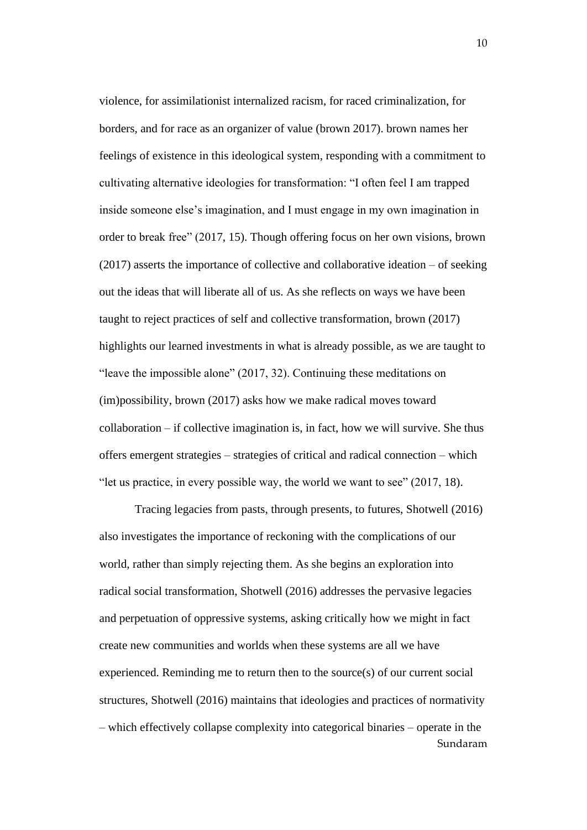violence, for assimilationist internalized racism, for raced criminalization, for borders, and for race as an organizer of value (brown 2017). brown names her feelings of existence in this ideological system, responding with a commitment to cultivating alternative ideologies for transformation: "I often feel I am trapped inside someone else's imagination, and I must engage in my own imagination in order to break free" (2017, 15). Though offering focus on her own visions, brown (2017) asserts the importance of collective and collaborative ideation – of seeking out the ideas that will liberate all of us. As she reflects on ways we have been taught to reject practices of self and collective transformation, brown (2017) highlights our learned investments in what is already possible, as we are taught to "leave the impossible alone" (2017, 32). Continuing these meditations on (im)possibility, brown (2017) asks how we make radical moves toward  $collaboration - if collective imagination is, in fact, how we will survive. She thus$ offers emergent strategies – strategies of critical and radical connection – which "let us practice, in every possible way, the world we want to see" (2017, 18).

Sundaram Tracing legacies from pasts, through presents, to futures, Shotwell (2016) also investigates the importance of reckoning with the complications of our world, rather than simply rejecting them. As she begins an exploration into radical social transformation, Shotwell (2016) addresses the pervasive legacies and perpetuation of oppressive systems, asking critically how we might in fact create new communities and worlds when these systems are all we have experienced. Reminding me to return then to the source(s) of our current social structures, Shotwell (2016) maintains that ideologies and practices of normativity – which effectively collapse complexity into categorical binaries – operate in the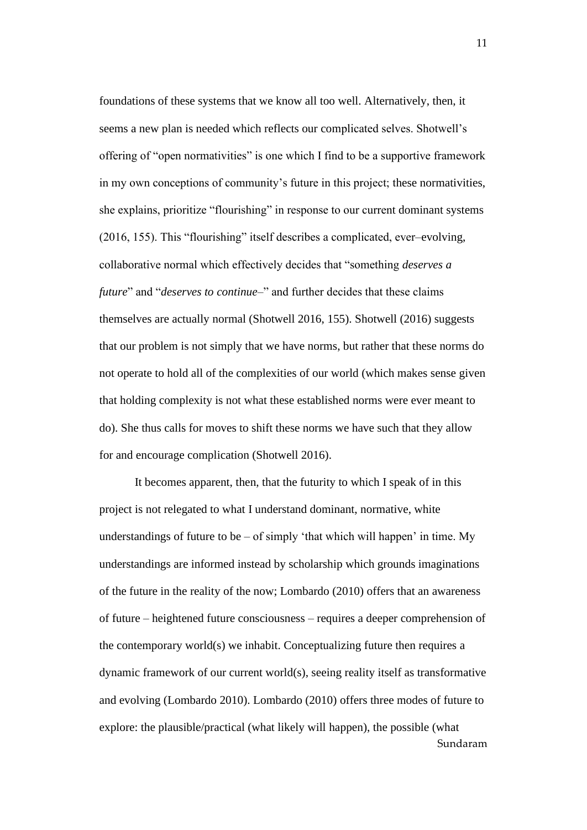foundations of these systems that we know all too well. Alternatively, then, it seems a new plan is needed which reflects our complicated selves. Shotwell's offering of "open normativities" is one which I find to be a supportive framework in my own conceptions of community's future in this project; these normativities, she explains, prioritize "flourishing" in response to our current dominant systems (2016, 155). This "flourishing" itself describes a complicated, ever–evolving, collaborative normal which effectively decides that "something *deserves a future*" and "*deserves to continue–*" and further decides that these claims themselves are actually normal (Shotwell 2016, 155). Shotwell (2016) suggests that our problem is not simply that we have norms, but rather that these norms do not operate to hold all of the complexities of our world (which makes sense given that holding complexity is not what these established norms were ever meant to do). She thus calls for moves to shift these norms we have such that they allow for and encourage complication (Shotwell 2016).

Sundaram It becomes apparent, then, that the futurity to which I speak of in this project is not relegated to what I understand dominant, normative, white understandings of future to be  $-$  of simply 'that which will happen' in time. My understandings are informed instead by scholarship which grounds imaginations of the future in the reality of the now; Lombardo (2010) offers that an awareness of future – heightened future consciousness – requires a deeper comprehension of the contemporary world(s) we inhabit. Conceptualizing future then requires a dynamic framework of our current world(s), seeing reality itself as transformative and evolving (Lombardo 2010). Lombardo (2010) offers three modes of future to explore: the plausible/practical (what likely will happen), the possible (what

11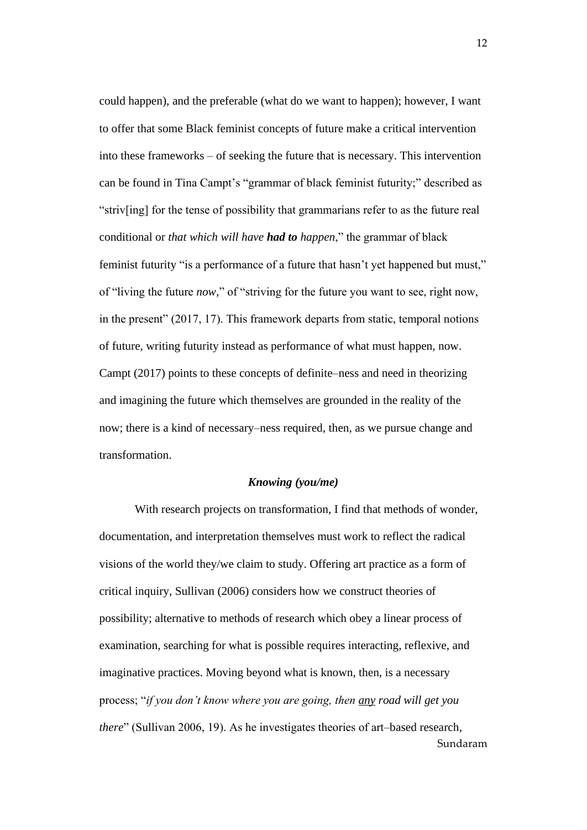could happen), and the preferable (what do we want to happen); however, I want to offer that some Black feminist concepts of future make a critical intervention into these frameworks – of seeking the future that is necessary. This intervention can be found in Tina Campt's "grammar of black feminist futurity;" described as "striv[ing] for the tense of possibility that grammarians refer to as the future real conditional or *that which will have had to happen*," the grammar of black feminist futurity "is a performance of a future that hasn't yet happened but must," of "living the future *now,*" of "striving for the future you want to see, right now, in the present" (2017, 17). This framework departs from static, temporal notions of future, writing futurity instead as performance of what must happen, now. Campt (2017) points to these concepts of definite–ness and need in theorizing and imagining the future which themselves are grounded in the reality of the now; there is a kind of necessary–ness required, then, as we pursue change and transformation.

#### *Knowing (you/me)*

Sundaram With research projects on transformation, I find that methods of wonder, documentation, and interpretation themselves must work to reflect the radical visions of the world they/we claim to study. Offering art practice as a form of critical inquiry, Sullivan (2006) considers how we construct theories of possibility; alternative to methods of research which obey a linear process of examination, searching for what is possible requires interacting, reflexive, and imaginative practices. Moving beyond what is known, then, is a necessary process; "*if you don't know where you are going, then any road will get you there*" (Sullivan 2006, 19). As he investigates theories of art–based research,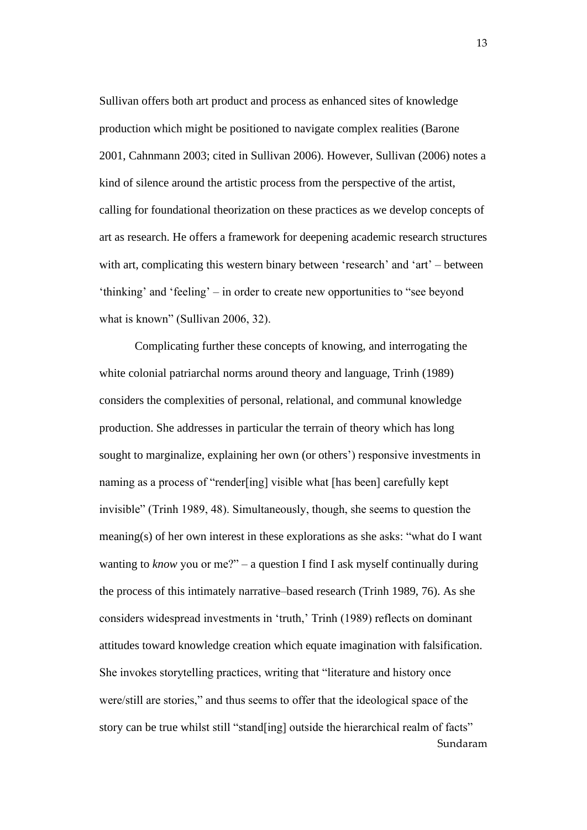Sullivan offers both art product and process as enhanced sites of knowledge production which might be positioned to navigate complex realities (Barone 2001, Cahnmann 2003; cited in Sullivan 2006). However, Sullivan (2006) notes a kind of silence around the artistic process from the perspective of the artist, calling for foundational theorization on these practices as we develop concepts of art as research. He offers a framework for deepening academic research structures with art, complicating this western binary between 'research' and 'art' – between 'thinking' and 'feeling' – in order to create new opportunities to "see beyond what is known" (Sullivan 2006, 32).

Sundaram Complicating further these concepts of knowing, and interrogating the white colonial patriarchal norms around theory and language, Trinh (1989) considers the complexities of personal, relational, and communal knowledge production. She addresses in particular the terrain of theory which has long sought to marginalize, explaining her own (or others') responsive investments in naming as a process of "render[ing] visible what [has been] carefully kept invisible" (Trinh 1989, 48). Simultaneously, though, she seems to question the meaning(s) of her own interest in these explorations as she asks: "what do I want wanting to *know* you or me?" – a question I find I ask myself continually during the process of this intimately narrative–based research (Trinh 1989, 76). As she considers widespread investments in 'truth,' Trinh (1989) reflects on dominant attitudes toward knowledge creation which equate imagination with falsification. She invokes storytelling practices, writing that "literature and history once were/still are stories," and thus seems to offer that the ideological space of the story can be true whilst still "stand[ing] outside the hierarchical realm of facts"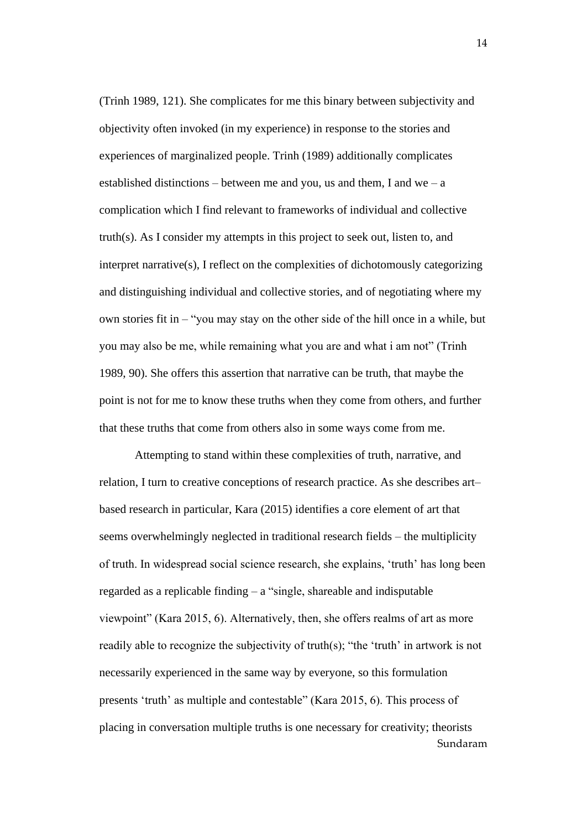(Trinh 1989, 121). She complicates for me this binary between subjectivity and objectivity often invoked (in my experience) in response to the stories and experiences of marginalized people. Trinh (1989) additionally complicates established distinctions – between me and you, us and them, I and we – a complication which I find relevant to frameworks of individual and collective truth(s). As I consider my attempts in this project to seek out, listen to, and interpret narrative(s), I reflect on the complexities of dichotomously categorizing and distinguishing individual and collective stories, and of negotiating where my own stories fit in – "you may stay on the other side of the hill once in a while, but you may also be me, while remaining what you are and what i am not" (Trinh 1989, 90). She offers this assertion that narrative can be truth, that maybe the point is not for me to know these truths when they come from others, and further that these truths that come from others also in some ways come from me.

Sundaram Attempting to stand within these complexities of truth, narrative, and relation, I turn to creative conceptions of research practice. As she describes art– based research in particular, Kara (2015) identifies a core element of art that seems overwhelmingly neglected in traditional research fields – the multiplicity of truth. In widespread social science research, she explains, 'truth' has long been regarded as a replicable finding – a "single, shareable and indisputable viewpoint" (Kara 2015, 6). Alternatively, then, she offers realms of art as more readily able to recognize the subjectivity of truth(s); "the 'truth' in artwork is not necessarily experienced in the same way by everyone, so this formulation presents 'truth' as multiple and contestable" (Kara 2015, 6). This process of placing in conversation multiple truths is one necessary for creativity; theorists

14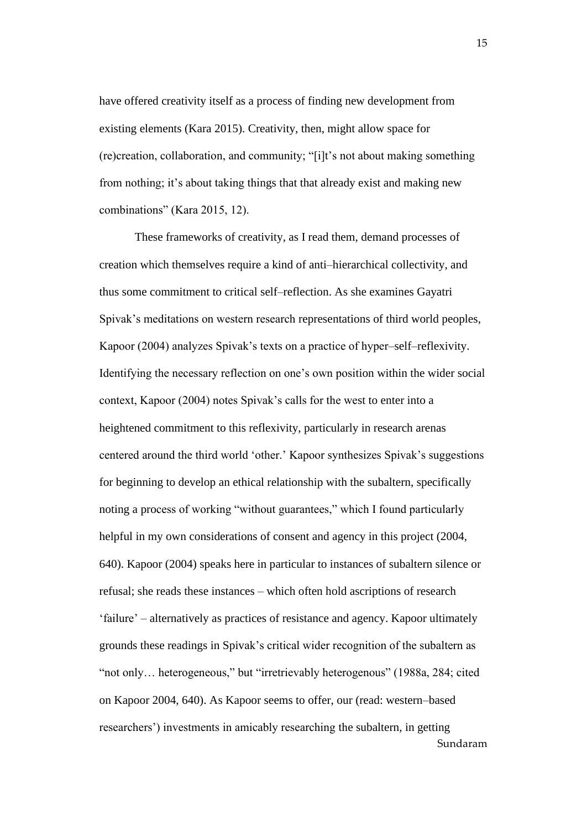have offered creativity itself as a process of finding new development from existing elements (Kara 2015). Creativity, then, might allow space for (re)creation, collaboration, and community; "[i]t's not about making something from nothing; it's about taking things that that already exist and making new combinations" (Kara 2015, 12).

Sundaram These frameworks of creativity, as I read them, demand processes of creation which themselves require a kind of anti–hierarchical collectivity, and thus some commitment to critical self–reflection. As she examines Gayatri Spivak's meditations on western research representations of third world peoples, Kapoor (2004) analyzes Spivak's texts on a practice of hyper–self–reflexivity. Identifying the necessary reflection on one's own position within the wider social context, Kapoor (2004) notes Spivak's calls for the west to enter into a heightened commitment to this reflexivity, particularly in research arenas centered around the third world 'other.' Kapoor synthesizes Spivak's suggestions for beginning to develop an ethical relationship with the subaltern, specifically noting a process of working "without guarantees," which I found particularly helpful in my own considerations of consent and agency in this project (2004, 640). Kapoor (2004) speaks here in particular to instances of subaltern silence or refusal; she reads these instances – which often hold ascriptions of research 'failure' – alternatively as practices of resistance and agency. Kapoor ultimately grounds these readings in Spivak's critical wider recognition of the subaltern as "not only… heterogeneous," but "irretrievably heterogenous" (1988a, 284; cited on Kapoor 2004, 640). As Kapoor seems to offer, our (read: western–based researchers') investments in amicably researching the subaltern, in getting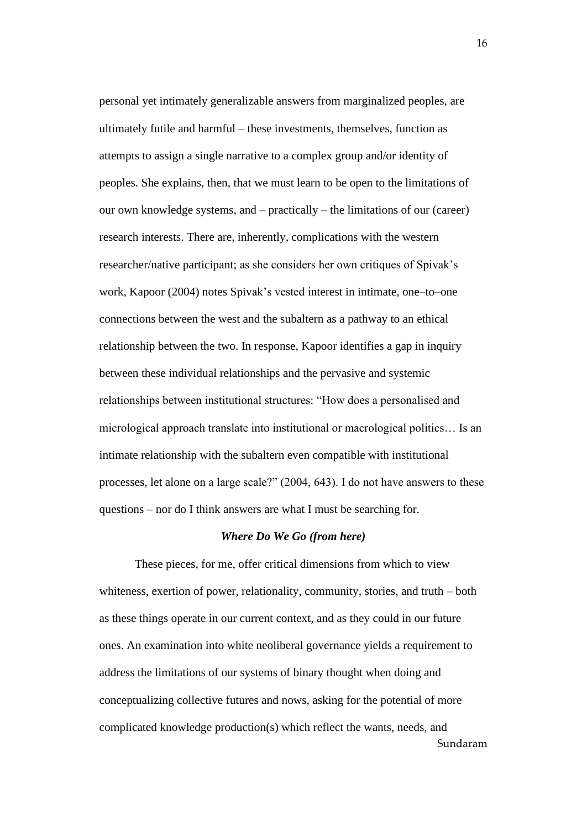personal yet intimately generalizable answers from marginalized peoples, are ultimately futile and harmful – these investments, themselves, function as attempts to assign a single narrative to a complex group and/or identity of peoples. She explains, then, that we must learn to be open to the limitations of our own knowledge systems, and – practically – the limitations of our (career) research interests. There are, inherently, complications with the western researcher/native participant; as she considers her own critiques of Spivak's work, Kapoor (2004) notes Spivak's vested interest in intimate, one–to–one connections between the west and the subaltern as a pathway to an ethical relationship between the two. In response, Kapoor identifies a gap in inquiry between these individual relationships and the pervasive and systemic relationships between institutional structures: "How does a personalised and micrological approach translate into institutional or macrological politics… Is an intimate relationship with the subaltern even compatible with institutional processes, let alone on a large scale?" (2004, 643). I do not have answers to these questions – nor do I think answers are what I must be searching for.

#### *Where Do We Go (from here)*

Sundaram These pieces, for me, offer critical dimensions from which to view whiteness, exertion of power, relationality, community, stories, and truth – both as these things operate in our current context, and as they could in our future ones. An examination into white neoliberal governance yields a requirement to address the limitations of our systems of binary thought when doing and conceptualizing collective futures and nows, asking for the potential of more complicated knowledge production(s) which reflect the wants, needs, and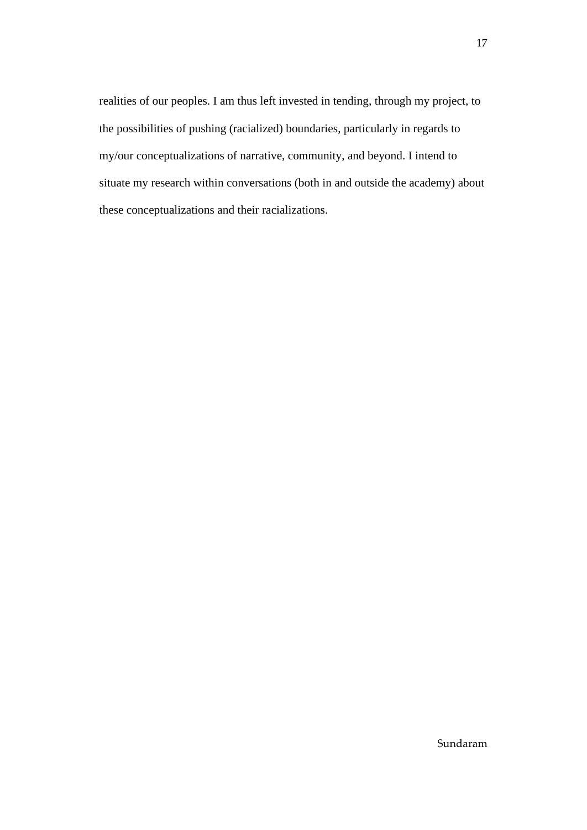realities of our peoples. I am thus left invested in tending, through my project, to the possibilities of pushing (racialized) boundaries, particularly in regards to my/our conceptualizations of narrative, community, and beyond. I intend to situate my research within conversations (both in and outside the academy) about these conceptualizations and their racializations.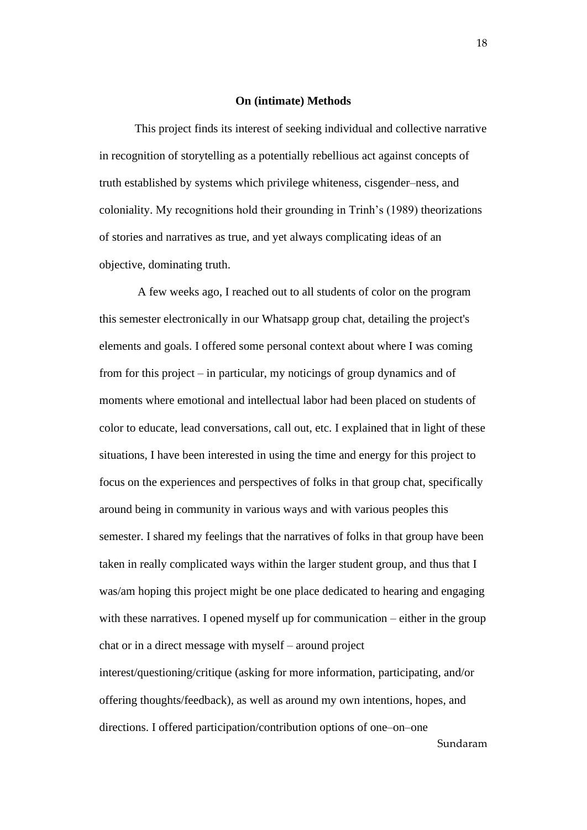#### **On (intimate) Methods**

This project finds its interest of seeking individual and collective narrative in recognition of storytelling as a potentially rebellious act against concepts of truth established by systems which privilege whiteness, cisgender–ness, and coloniality. My recognitions hold their grounding in Trinh's (1989) theorizations of stories and narratives as true, and yet always complicating ideas of an objective, dominating truth.

Sundaram A few weeks ago, I reached out to all students of color on the program this semester electronically in our Whatsapp group chat, detailing the project's elements and goals. I offered some personal context about where I was coming from for this project – in particular, my noticings of group dynamics and of moments where emotional and intellectual labor had been placed on students of color to educate, lead conversations, call out, etc. I explained that in light of these situations, I have been interested in using the time and energy for this project to focus on the experiences and perspectives of folks in that group chat, specifically around being in community in various ways and with various peoples this semester. I shared my feelings that the narratives of folks in that group have been taken in really complicated ways within the larger student group, and thus that I was/am hoping this project might be one place dedicated to hearing and engaging with these narratives. I opened myself up for communication – either in the group chat or in a direct message with myself – around project interest/questioning/critique (asking for more information, participating, and/or offering thoughts/feedback), as well as around my own intentions, hopes, and directions. I offered participation/contribution options of one–on–one

18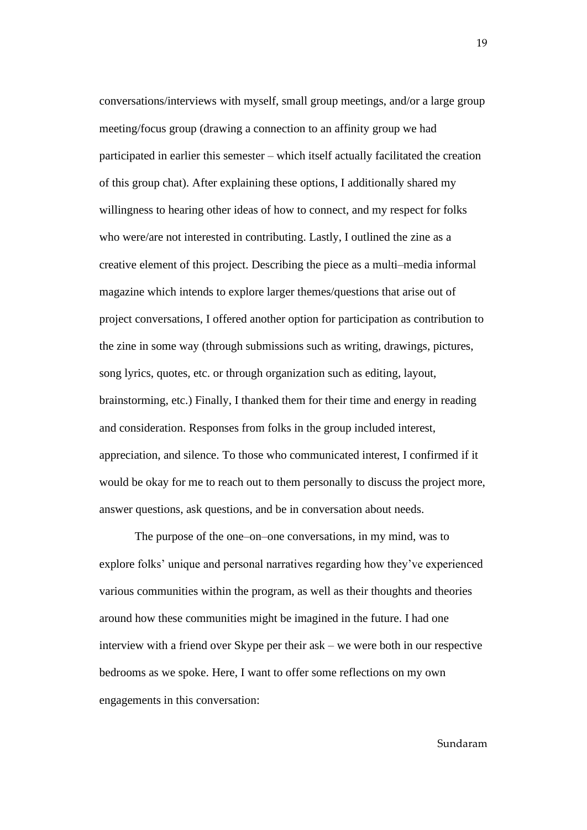conversations/interviews with myself, small group meetings, and/or a large group meeting/focus group (drawing a connection to an affinity group we had participated in earlier this semester – which itself actually facilitated the creation of this group chat). After explaining these options, I additionally shared my willingness to hearing other ideas of how to connect, and my respect for folks who were/are not interested in contributing. Lastly, I outlined the zine as a creative element of this project. Describing the piece as a multi–media informal magazine which intends to explore larger themes/questions that arise out of project conversations, I offered another option for participation as contribution to the zine in some way (through submissions such as writing, drawings, pictures, song lyrics, quotes, etc. or through organization such as editing, layout, brainstorming, etc.) Finally, I thanked them for their time and energy in reading and consideration. Responses from folks in the group included interest, appreciation, and silence. To those who communicated interest, I confirmed if it would be okay for me to reach out to them personally to discuss the project more, answer questions, ask questions, and be in conversation about needs.

The purpose of the one–on–one conversations, in my mind, was to explore folks' unique and personal narratives regarding how they've experienced various communities within the program, as well as their thoughts and theories around how these communities might be imagined in the future. I had one interview with a friend over Skype per their ask – we were both in our respective bedrooms as we spoke. Here, I want to offer some reflections on my own engagements in this conversation:

Sundaram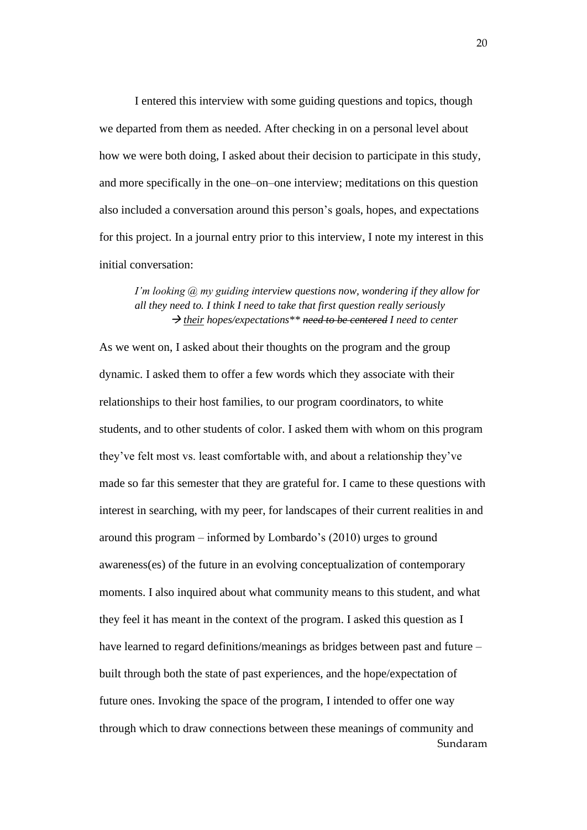I entered this interview with some guiding questions and topics, though we departed from them as needed. After checking in on a personal level about how we were both doing, I asked about their decision to participate in this study, and more specifically in the one–on–one interview; meditations on this question also included a conversation around this person's goals, hopes, and expectations for this project. In a journal entry prior to this interview, I note my interest in this initial conversation:

#### *I'm looking @ my guiding interview questions now, wondering if they allow for all they need to. I think I need to take that first question really seriously* → *their hopes/expectations\*\* need to be centered I need to center*

Sundaram As we went on, I asked about their thoughts on the program and the group dynamic. I asked them to offer a few words which they associate with their relationships to their host families, to our program coordinators, to white students, and to other students of color. I asked them with whom on this program they've felt most vs. least comfortable with, and about a relationship they've made so far this semester that they are grateful for. I came to these questions with interest in searching, with my peer, for landscapes of their current realities in and around this program – informed by Lombardo's (2010) urges to ground awareness(es) of the future in an evolving conceptualization of contemporary moments. I also inquired about what community means to this student, and what they feel it has meant in the context of the program. I asked this question as I have learned to regard definitions/meanings as bridges between past and future – built through both the state of past experiences, and the hope/expectation of future ones. Invoking the space of the program, I intended to offer one way through which to draw connections between these meanings of community and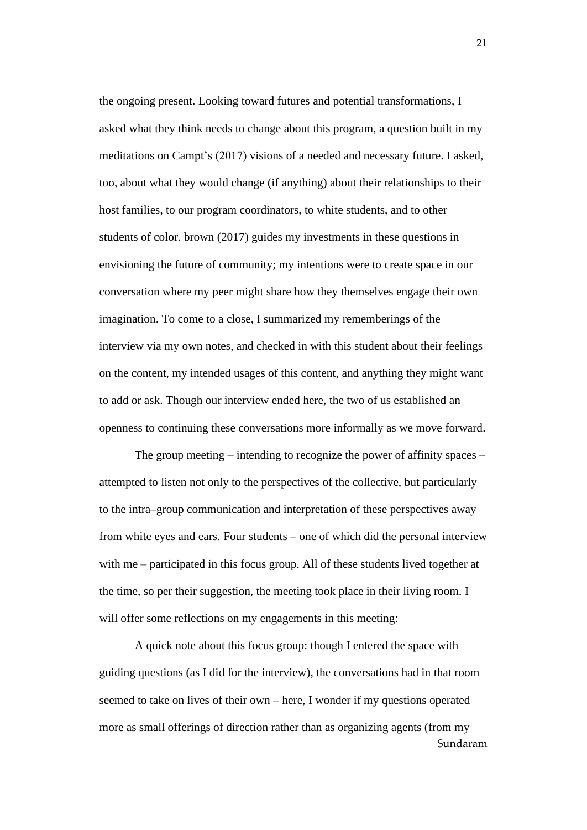the ongoing present. Looking toward futures and potential transformations, I asked what they think needs to change about this program, a question built in my meditations on Campt's (2017) visions of a needed and necessary future. I asked, too, about what they would change (if anything) about their relationships to their host families, to our program coordinators, to white students, and to other students of color. brown (2017) guides my investments in these questions in envisioning the future of community; my intentions were to create space in our conversation where my peer might share how they themselves engage their own imagination. To come to a close, I summarized my rememberings of the interview via my own notes, and checked in with this student about their feelings on the content, my intended usages of this content, and anything they might want to add or ask. Though our interview ended here, the two of us established an openness to continuing these conversations more informally as we move forward.

The group meeting – intending to recognize the power of affinity spaces – attempted to listen not only to the perspectives of the collective, but particularly to the intra–group communication and interpretation of these perspectives away from white eyes and ears. Four students – one of which did the personal interview with me – participated in this focus group. All of these students lived together at the time, so per their suggestion, the meeting took place in their living room. I will offer some reflections on my engagements in this meeting:

Sundaram A quick note about this focus group: though I entered the space with guiding questions (as I did for the interview), the conversations had in that room seemed to take on lives of their own – here, I wonder if my questions operated more as small offerings of direction rather than as organizing agents (from my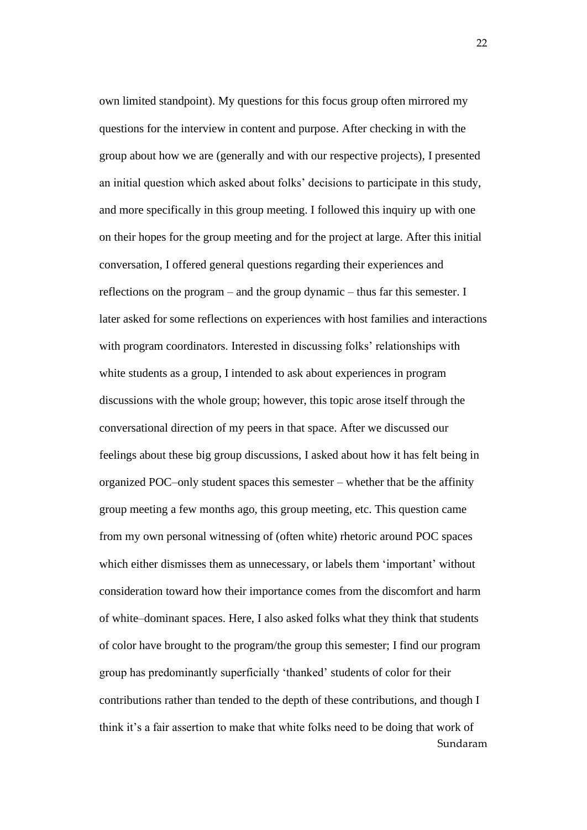Sundaram own limited standpoint). My questions for this focus group often mirrored my questions for the interview in content and purpose. After checking in with the group about how we are (generally and with our respective projects), I presented an initial question which asked about folks' decisions to participate in this study, and more specifically in this group meeting. I followed this inquiry up with one on their hopes for the group meeting and for the project at large. After this initial conversation, I offered general questions regarding their experiences and reflections on the program – and the group dynamic – thus far this semester. I later asked for some reflections on experiences with host families and interactions with program coordinators. Interested in discussing folks' relationships with white students as a group, I intended to ask about experiences in program discussions with the whole group; however, this topic arose itself through the conversational direction of my peers in that space. After we discussed our feelings about these big group discussions, I asked about how it has felt being in organized POC–only student spaces this semester – whether that be the affinity group meeting a few months ago, this group meeting, etc. This question came from my own personal witnessing of (often white) rhetoric around POC spaces which either dismisses them as unnecessary, or labels them 'important' without consideration toward how their importance comes from the discomfort and harm of white–dominant spaces. Here, I also asked folks what they think that students of color have brought to the program/the group this semester; I find our program group has predominantly superficially 'thanked' students of color for their contributions rather than tended to the depth of these contributions, and though I think it's a fair assertion to make that white folks need to be doing that work of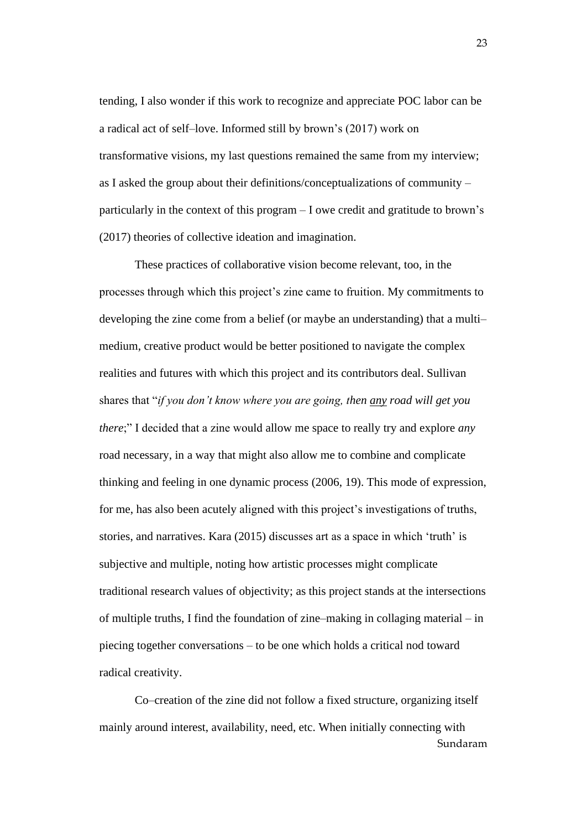tending, I also wonder if this work to recognize and appreciate POC labor can be a radical act of self–love. Informed still by brown's (2017) work on transformative visions, my last questions remained the same from my interview; as I asked the group about their definitions/conceptualizations of community – particularly in the context of this program – I owe credit and gratitude to brown's (2017) theories of collective ideation and imagination.

These practices of collaborative vision become relevant, too, in the processes through which this project's zine came to fruition. My commitments to developing the zine come from a belief (or maybe an understanding) that a multi– medium, creative product would be better positioned to navigate the complex realities and futures with which this project and its contributors deal. Sullivan shares that "*if you don't know where you are going, then any road will get you there*;" I decided that a zine would allow me space to really try and explore *any* road necessary, in a way that might also allow me to combine and complicate thinking and feeling in one dynamic process (2006, 19). This mode of expression, for me, has also been acutely aligned with this project's investigations of truths, stories, and narratives. Kara (2015) discusses art as a space in which 'truth' is subjective and multiple, noting how artistic processes might complicate traditional research values of objectivity; as this project stands at the intersections of multiple truths, I find the foundation of zine–making in collaging material – in piecing together conversations – to be one which holds a critical nod toward radical creativity.

Sundaram Co–creation of the zine did not follow a fixed structure, organizing itself mainly around interest, availability, need, etc. When initially connecting with

23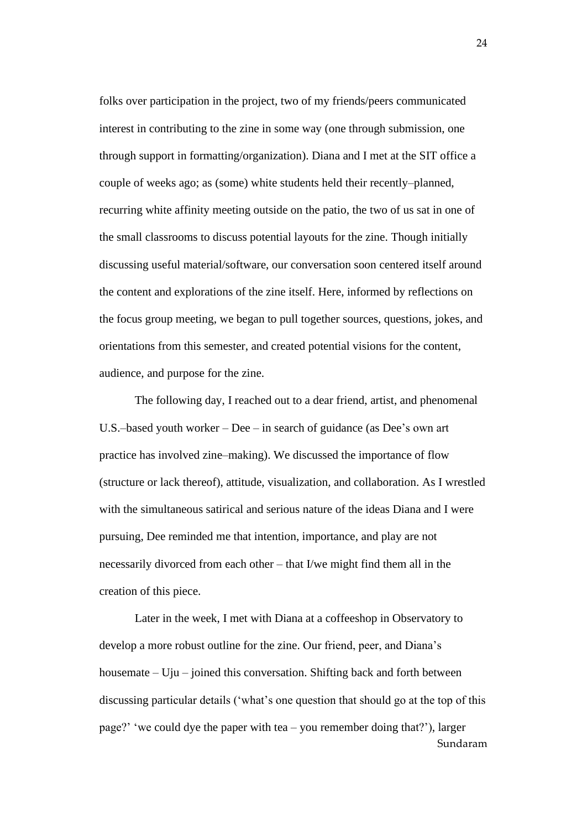folks over participation in the project, two of my friends/peers communicated interest in contributing to the zine in some way (one through submission, one through support in formatting/organization). Diana and I met at the SIT office a couple of weeks ago; as (some) white students held their recently–planned, recurring white affinity meeting outside on the patio, the two of us sat in one of the small classrooms to discuss potential layouts for the zine. Though initially discussing useful material/software, our conversation soon centered itself around the content and explorations of the zine itself. Here, informed by reflections on the focus group meeting, we began to pull together sources, questions, jokes, and orientations from this semester, and created potential visions for the content, audience, and purpose for the zine.

The following day, I reached out to a dear friend, artist, and phenomenal U.S.–based youth worker – Dee – in search of guidance (as Dee's own art practice has involved zine–making). We discussed the importance of flow (structure or lack thereof), attitude, visualization, and collaboration. As I wrestled with the simultaneous satirical and serious nature of the ideas Diana and I were pursuing, Dee reminded me that intention, importance, and play are not necessarily divorced from each other – that I/we might find them all in the creation of this piece.

Sundaram Later in the week, I met with Diana at a coffeeshop in Observatory to develop a more robust outline for the zine. Our friend, peer, and Diana's housemate – Uju – joined this conversation. Shifting back and forth between discussing particular details ('what's one question that should go at the top of this page?' 'we could dye the paper with tea – you remember doing that?'), larger

24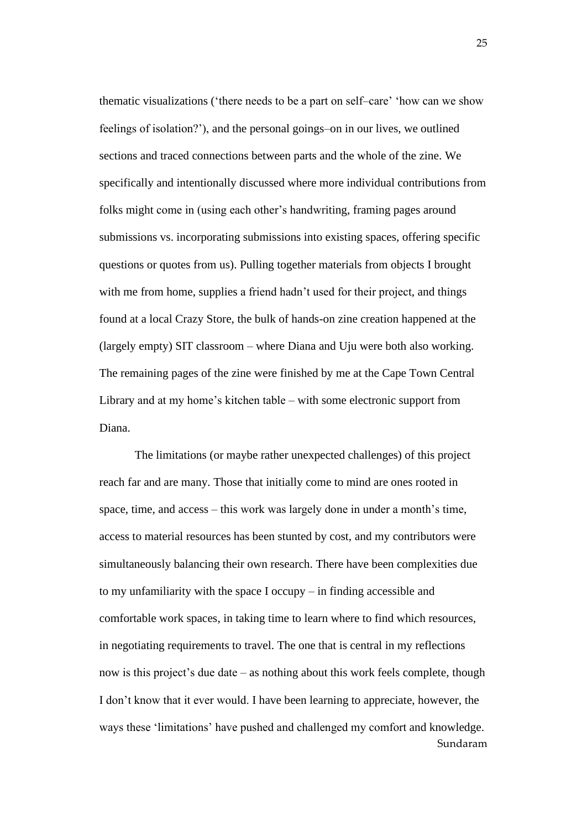thematic visualizations ('there needs to be a part on self–care' 'how can we show feelings of isolation?'), and the personal goings–on in our lives, we outlined sections and traced connections between parts and the whole of the zine. We specifically and intentionally discussed where more individual contributions from folks might come in (using each other's handwriting, framing pages around submissions vs. incorporating submissions into existing spaces, offering specific questions or quotes from us). Pulling together materials from objects I brought with me from home, supplies a friend hadn't used for their project, and things found at a local Crazy Store, the bulk of hands-on zine creation happened at the (largely empty) SIT classroom – where Diana and Uju were both also working. The remaining pages of the zine were finished by me at the Cape Town Central Library and at my home's kitchen table – with some electronic support from Diana.

Sundaram The limitations (or maybe rather unexpected challenges) of this project reach far and are many. Those that initially come to mind are ones rooted in space, time, and access – this work was largely done in under a month's time, access to material resources has been stunted by cost, and my contributors were simultaneously balancing their own research. There have been complexities due to my unfamiliarity with the space I occupy – in finding accessible and comfortable work spaces, in taking time to learn where to find which resources, in negotiating requirements to travel. The one that is central in my reflections now is this project's due date – as nothing about this work feels complete, though I don't know that it ever would. I have been learning to appreciate, however, the ways these 'limitations' have pushed and challenged my comfort and knowledge.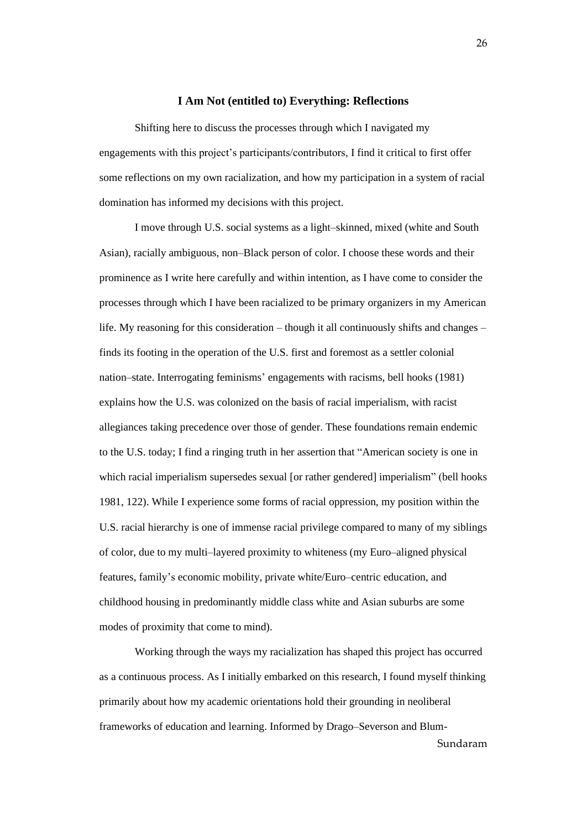#### **I Am Not (entitled to) Everything: Reflections**

Shifting here to discuss the processes through which I navigated my engagements with this project's participants/contributors, I find it critical to first offer some reflections on my own racialization, and how my participation in a system of racial domination has informed my decisions with this project.

I move through U.S. social systems as a light–skinned, mixed (white and South Asian), racially ambiguous, non–Black person of color. I choose these words and their prominence as I write here carefully and within intention, as I have come to consider the processes through which I have been racialized to be primary organizers in my American life. My reasoning for this consideration – though it all continuously shifts and changes – finds its footing in the operation of the U.S. first and foremost as a settler colonial nation–state. Interrogating feminisms' engagements with racisms, bell hooks (1981) explains how the U.S. was colonized on the basis of racial imperialism, with racist allegiances taking precedence over those of gender. These foundations remain endemic to the U.S. today; I find a ringing truth in her assertion that "American society is one in which racial imperialism supersedes sexual [or rather gendered] imperialism" (bell hooks 1981, 122). While I experience some forms of racial oppression, my position within the U.S. racial hierarchy is one of immense racial privilege compared to many of my siblings of color, due to my multi–layered proximity to whiteness (my Euro–aligned physical features, family's economic mobility, private white/Euro–centric education, and childhood housing in predominantly middle class white and Asian suburbs are some modes of proximity that come to mind).

Sundaram Working through the ways my racialization has shaped this project has occurred as a continuous process. As I initially embarked on this research, I found myself thinking primarily about how my academic orientations hold their grounding in neoliberal frameworks of education and learning. Informed by Drago–Severson and Blum-

26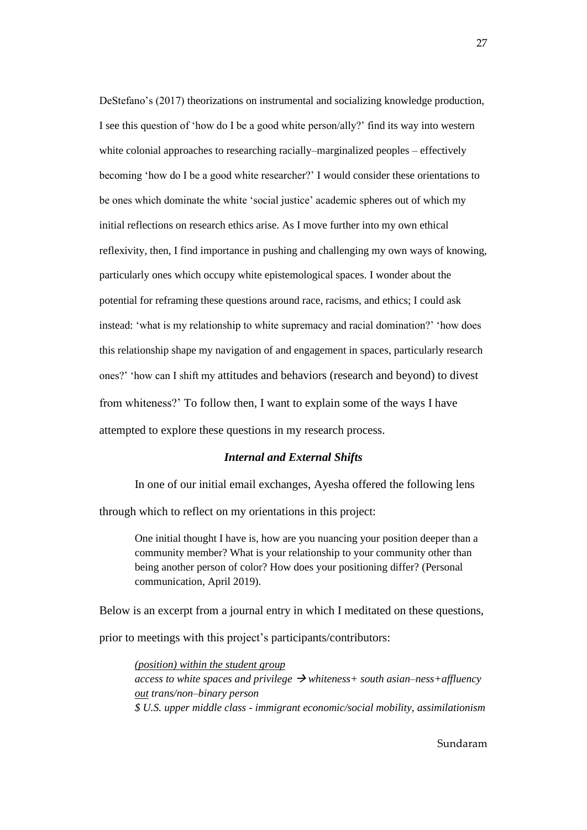DeStefano's (2017) theorizations on instrumental and socializing knowledge production, I see this question of 'how do I be a good white person/ally?' find its way into western white colonial approaches to researching racially–marginalized peoples – effectively becoming 'how do I be a good white researcher?' I would consider these orientations to be ones which dominate the white 'social justice' academic spheres out of which my initial reflections on research ethics arise. As I move further into my own ethical reflexivity, then, I find importance in pushing and challenging my own ways of knowing, particularly ones which occupy white epistemological spaces. I wonder about the potential for reframing these questions around race, racisms, and ethics; I could ask instead: 'what is my relationship to white supremacy and racial domination?' 'how does this relationship shape my navigation of and engagement in spaces, particularly research ones?' 'how can I shift my attitudes and behaviors (research and beyond) to divest from whiteness?' To follow then, I want to explain some of the ways I have attempted to explore these questions in my research process.

#### *Internal and External Shifts*

In one of our initial email exchanges, Ayesha offered the following lens through which to reflect on my orientations in this project:

One initial thought I have is, how are you nuancing your position deeper than a community member? What is your relationship to your community other than being another person of color? How does your positioning differ? (Personal communication, April 2019).

Below is an excerpt from a journal entry in which I meditated on these questions, prior to meetings with this project's participants/contributors:

*(position) within the student group access to white spaces and privilege*  $\rightarrow$  *whiteness+ south asian–ness+affluency out trans/non–binary person \$ U.S. upper middle class - immigrant economic/social mobility, assimilationism*

27

Sundaram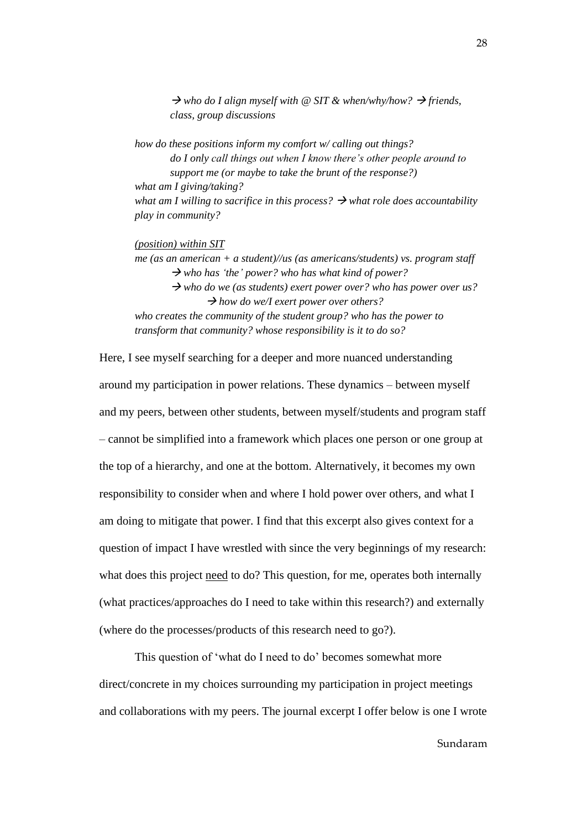$\rightarrow$  who do I align myself with @ SIT & when/why/how?  $\rightarrow$  friends, *class, group discussions*

*how do these positions inform my comfort w/ calling out things? do I only call things out when I know there's other people around to support me (or maybe to take the brunt of the response?) what am I giving/taking? what am I willing to sacrifice in this process?*  $\rightarrow$  *what role does accountability play in community?*

*(position) within SIT*

*me (as an american + a student)//us (as americans/students) vs. program staff*  → *who has 'the' power? who has what kind of power?*

→ *who do we (as students) exert power over? who has power over us?* → *how do we/I exert power over others?*

*who creates the community of the student group? who has the power to transform that community? whose responsibility is it to do so?*

Here, I see myself searching for a deeper and more nuanced understanding around my participation in power relations. These dynamics – between myself and my peers, between other students, between myself/students and program staff – cannot be simplified into a framework which places one person or one group at the top of a hierarchy, and one at the bottom. Alternatively, it becomes my own responsibility to consider when and where I hold power over others, and what I am doing to mitigate that power. I find that this excerpt also gives context for a question of impact I have wrestled with since the very beginnings of my research: what does this project need to do? This question, for me, operates both internally (what practices/approaches do I need to take within this research?) and externally (where do the processes/products of this research need to go?).

This question of 'what do I need to do' becomes somewhat more direct/concrete in my choices surrounding my participation in project meetings and collaborations with my peers. The journal excerpt I offer below is one I wrote

Sundaram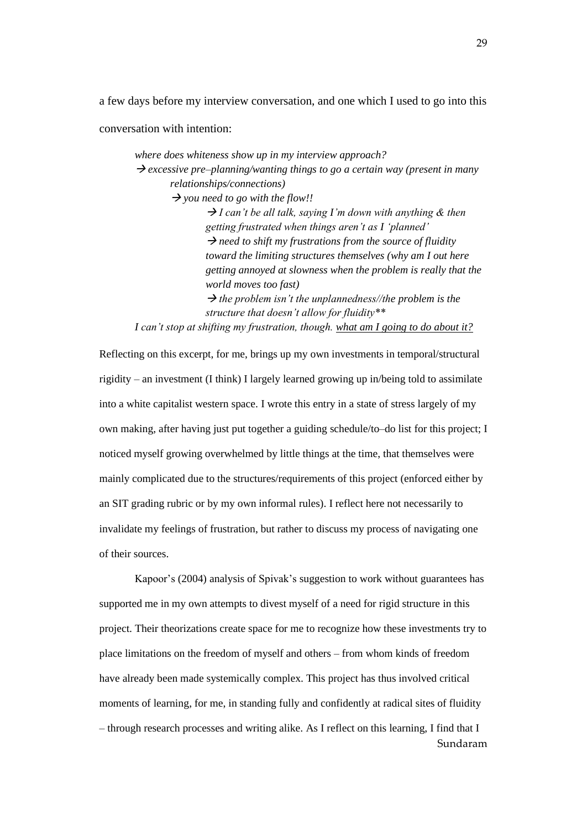a few days before my interview conversation, and one which I used to go into this

conversation with intention:

*where does whiteness show up in my interview approach?* → *excessive pre–planning/wanting things to go a certain way (present in many relationships/connections)* → *you need to go with the flow!!*  → *I can't be all talk, saying I'm down with anything & then getting frustrated when things aren't as I 'planned'* → *need to shift my frustrations from the source of fluidity toward the limiting structures themselves (why am I out here getting annoyed at slowness when the problem is really that the world moves too fast)*   $\rightarrow$  *the problem isn't the unplannedness//the problem is the structure that doesn't allow for fluidity\*\**

*I can't stop at shifting my frustration, though. what am I going to do about it?*

Reflecting on this excerpt, for me, brings up my own investments in temporal/structural rigidity – an investment (I think) I largely learned growing up in/being told to assimilate into a white capitalist western space. I wrote this entry in a state of stress largely of my own making, after having just put together a guiding schedule/to–do list for this project; I noticed myself growing overwhelmed by little things at the time, that themselves were mainly complicated due to the structures/requirements of this project (enforced either by an SIT grading rubric or by my own informal rules). I reflect here not necessarily to invalidate my feelings of frustration, but rather to discuss my process of navigating one of their sources.

Sundaram Kapoor's (2004) analysis of Spivak's suggestion to work without guarantees has supported me in my own attempts to divest myself of a need for rigid structure in this project. Their theorizations create space for me to recognize how these investments try to place limitations on the freedom of myself and others – from whom kinds of freedom have already been made systemically complex. This project has thus involved critical moments of learning, for me, in standing fully and confidently at radical sites of fluidity – through research processes and writing alike. As I reflect on this learning, I find that I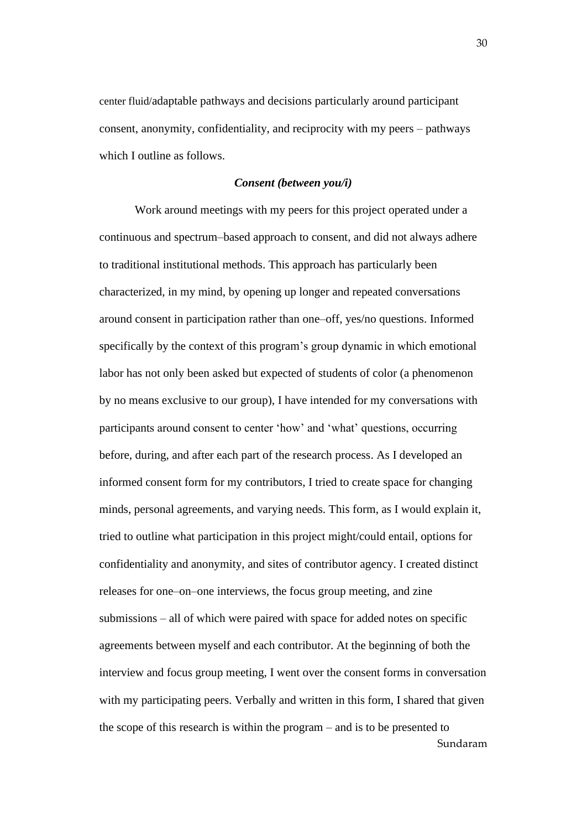center fluid/adaptable pathways and decisions particularly around participant consent, anonymity, confidentiality, and reciprocity with my peers – pathways which I outline as follows.

#### *Consent (between you/i)*

Sundaram Work around meetings with my peers for this project operated under a continuous and spectrum–based approach to consent, and did not always adhere to traditional institutional methods. This approach has particularly been characterized, in my mind, by opening up longer and repeated conversations around consent in participation rather than one–off, yes/no questions. Informed specifically by the context of this program's group dynamic in which emotional labor has not only been asked but expected of students of color (a phenomenon by no means exclusive to our group), I have intended for my conversations with participants around consent to center 'how' and 'what' questions, occurring before, during, and after each part of the research process. As I developed an informed consent form for my contributors, I tried to create space for changing minds, personal agreements, and varying needs. This form, as I would explain it, tried to outline what participation in this project might/could entail, options for confidentiality and anonymity, and sites of contributor agency. I created distinct releases for one–on–one interviews, the focus group meeting, and zine submissions – all of which were paired with space for added notes on specific agreements between myself and each contributor. At the beginning of both the interview and focus group meeting, I went over the consent forms in conversation with my participating peers. Verbally and written in this form, I shared that given the scope of this research is within the program – and is to be presented to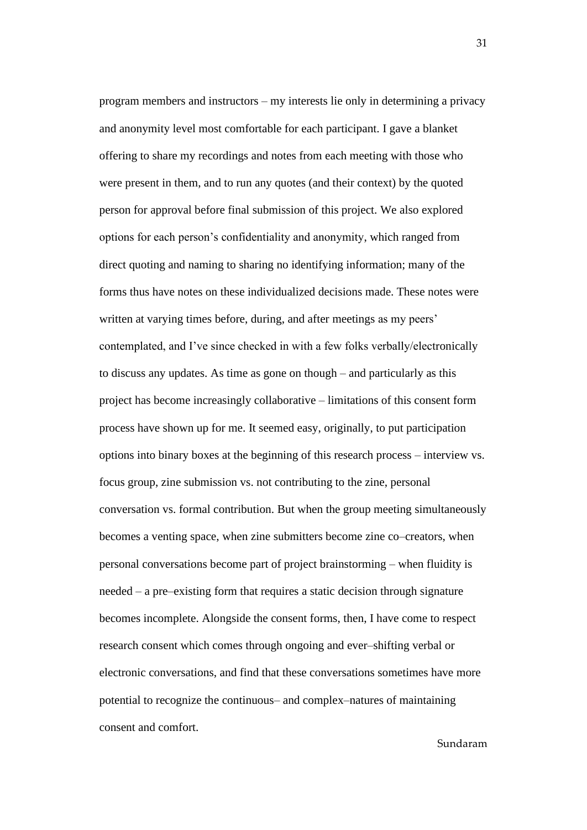program members and instructors – my interests lie only in determining a privacy and anonymity level most comfortable for each participant. I gave a blanket offering to share my recordings and notes from each meeting with those who were present in them, and to run any quotes (and their context) by the quoted person for approval before final submission of this project. We also explored options for each person's confidentiality and anonymity, which ranged from direct quoting and naming to sharing no identifying information; many of the forms thus have notes on these individualized decisions made. These notes were written at varying times before, during, and after meetings as my peers' contemplated, and I've since checked in with a few folks verbally/electronically to discuss any updates. As time as gone on though – and particularly as this project has become increasingly collaborative – limitations of this consent form process have shown up for me. It seemed easy, originally, to put participation options into binary boxes at the beginning of this research process – interview vs. focus group, zine submission vs. not contributing to the zine, personal conversation vs. formal contribution. But when the group meeting simultaneously becomes a venting space, when zine submitters become zine co–creators, when personal conversations become part of project brainstorming – when fluidity is needed – a pre–existing form that requires a static decision through signature becomes incomplete. Alongside the consent forms, then, I have come to respect research consent which comes through ongoing and ever–shifting verbal or electronic conversations, and find that these conversations sometimes have more potential to recognize the continuous– and complex–natures of maintaining consent and comfort.

Sundaram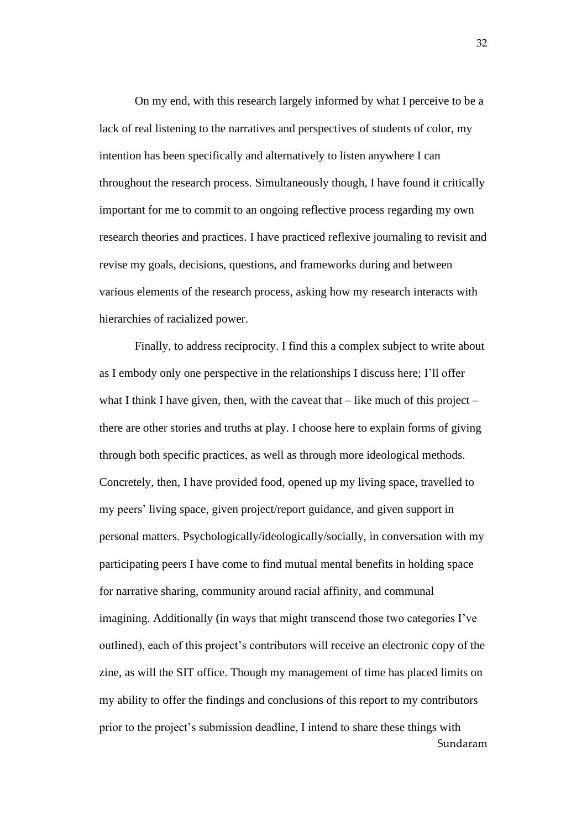On my end, with this research largely informed by what I perceive to be a lack of real listening to the narratives and perspectives of students of color, my intention has been specifically and alternatively to listen anywhere I can throughout the research process. Simultaneously though, I have found it critically important for me to commit to an ongoing reflective process regarding my own research theories and practices. I have practiced reflexive journaling to revisit and revise my goals, decisions, questions, and frameworks during and between various elements of the research process, asking how my research interacts with hierarchies of racialized power.

Sundaram Finally, to address reciprocity. I find this a complex subject to write about as I embody only one perspective in the relationships I discuss here; I'll offer what I think I have given, then, with the caveat that  $-$  like much of this project  $$ there are other stories and truths at play. I choose here to explain forms of giving through both specific practices, as well as through more ideological methods. Concretely, then, I have provided food, opened up my living space, travelled to my peers' living space, given project/report guidance, and given support in personal matters. Psychologically/ideologically/socially, in conversation with my participating peers I have come to find mutual mental benefits in holding space for narrative sharing, community around racial affinity, and communal imagining. Additionally (in ways that might transcend those two categories I've outlined), each of this project's contributors will receive an electronic copy of the zine, as will the SIT office. Though my management of time has placed limits on my ability to offer the findings and conclusions of this report to my contributors prior to the project's submission deadline, I intend to share these things with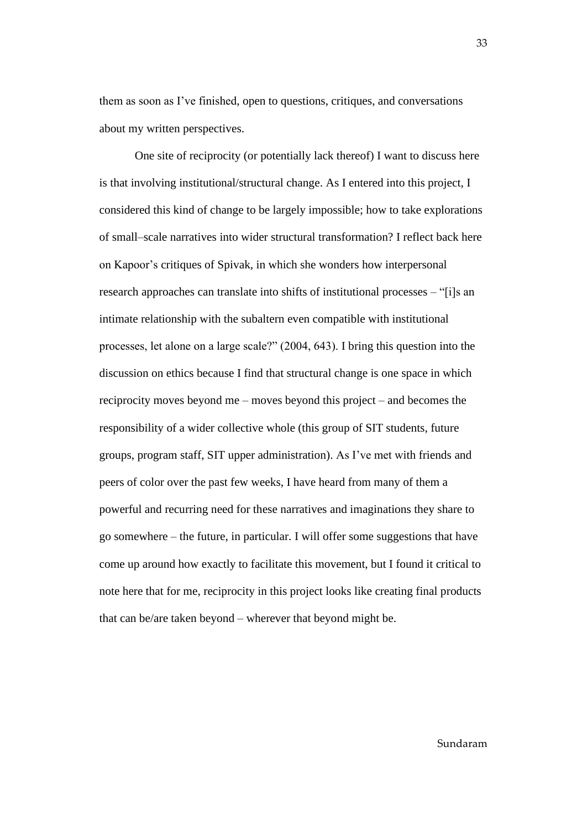them as soon as I've finished, open to questions, critiques, and conversations about my written perspectives.

One site of reciprocity (or potentially lack thereof) I want to discuss here is that involving institutional/structural change. As I entered into this project, I considered this kind of change to be largely impossible; how to take explorations of small–scale narratives into wider structural transformation? I reflect back here on Kapoor's critiques of Spivak, in which she wonders how interpersonal research approaches can translate into shifts of institutional processes – "[i]s an intimate relationship with the subaltern even compatible with institutional processes, let alone on a large scale?" (2004, 643). I bring this question into the discussion on ethics because I find that structural change is one space in which reciprocity moves beyond me – moves beyond this project – and becomes the responsibility of a wider collective whole (this group of SIT students, future groups, program staff, SIT upper administration). As I've met with friends and peers of color over the past few weeks, I have heard from many of them a powerful and recurring need for these narratives and imaginations they share to go somewhere – the future, in particular. I will offer some suggestions that have come up around how exactly to facilitate this movement, but I found it critical to note here that for me, reciprocity in this project looks like creating final products that can be/are taken beyond – wherever that beyond might be.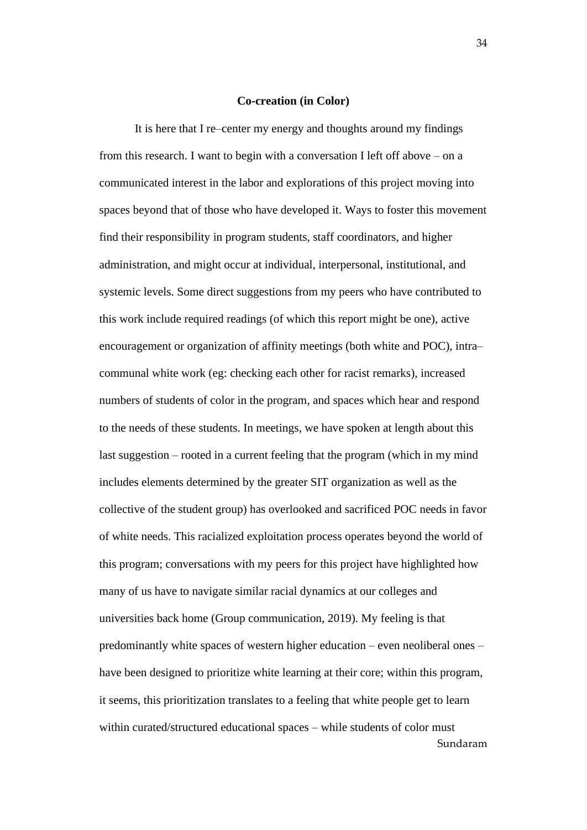#### **Co-creation (in Color)**

Sundaram It is here that I re–center my energy and thoughts around my findings from this research. I want to begin with a conversation I left off above – on a communicated interest in the labor and explorations of this project moving into spaces beyond that of those who have developed it. Ways to foster this movement find their responsibility in program students, staff coordinators, and higher administration, and might occur at individual, interpersonal, institutional, and systemic levels. Some direct suggestions from my peers who have contributed to this work include required readings (of which this report might be one), active encouragement or organization of affinity meetings (both white and POC), intra– communal white work (eg: checking each other for racist remarks), increased numbers of students of color in the program, and spaces which hear and respond to the needs of these students. In meetings, we have spoken at length about this last suggestion – rooted in a current feeling that the program (which in my mind includes elements determined by the greater SIT organization as well as the collective of the student group) has overlooked and sacrificed POC needs in favor of white needs. This racialized exploitation process operates beyond the world of this program; conversations with my peers for this project have highlighted how many of us have to navigate similar racial dynamics at our colleges and universities back home (Group communication, 2019). My feeling is that predominantly white spaces of western higher education – even neoliberal ones – have been designed to prioritize white learning at their core; within this program, it seems, this prioritization translates to a feeling that white people get to learn within curated/structured educational spaces – while students of color must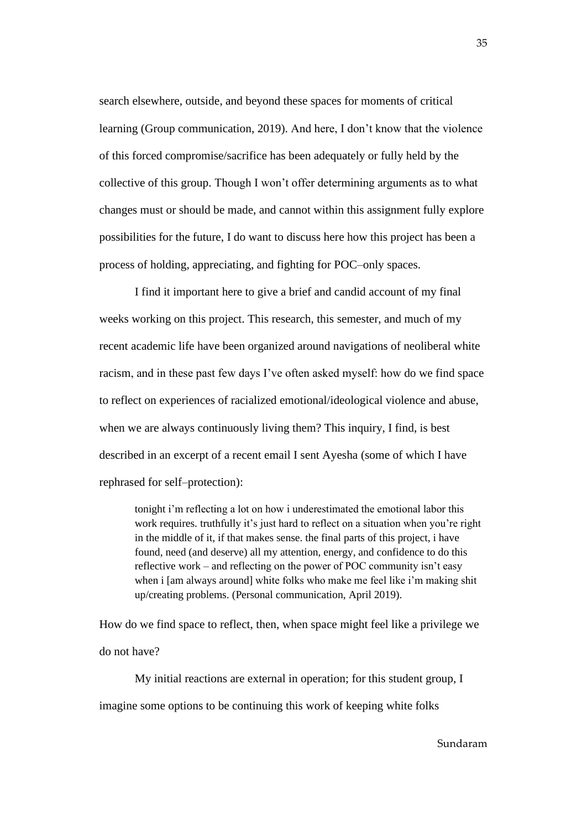search elsewhere, outside, and beyond these spaces for moments of critical learning (Group communication, 2019). And here, I don't know that the violence of this forced compromise/sacrifice has been adequately or fully held by the collective of this group. Though I won't offer determining arguments as to what changes must or should be made, and cannot within this assignment fully explore possibilities for the future, I do want to discuss here how this project has been a process of holding, appreciating, and fighting for POC–only spaces.

I find it important here to give a brief and candid account of my final weeks working on this project. This research, this semester, and much of my recent academic life have been organized around navigations of neoliberal white racism, and in these past few days I've often asked myself: how do we find space to reflect on experiences of racialized emotional/ideological violence and abuse, when we are always continuously living them? This inquiry, I find, is best described in an excerpt of a recent email I sent Ayesha (some of which I have rephrased for self–protection):

tonight i'm reflecting a lot on how i underestimated the emotional labor this work requires. truthfully it's just hard to reflect on a situation when you're right in the middle of it, if that makes sense. the final parts of this project, i have found, need (and deserve) all my attention, energy, and confidence to do this reflective work – and reflecting on the power of POC community isn't easy when i [am always around] white folks who make me feel like i'm making shit up/creating problems. (Personal communication, April 2019).

How do we find space to reflect, then, when space might feel like a privilege we do not have?

My initial reactions are external in operation; for this student group, I imagine some options to be continuing this work of keeping white folks

Sundaram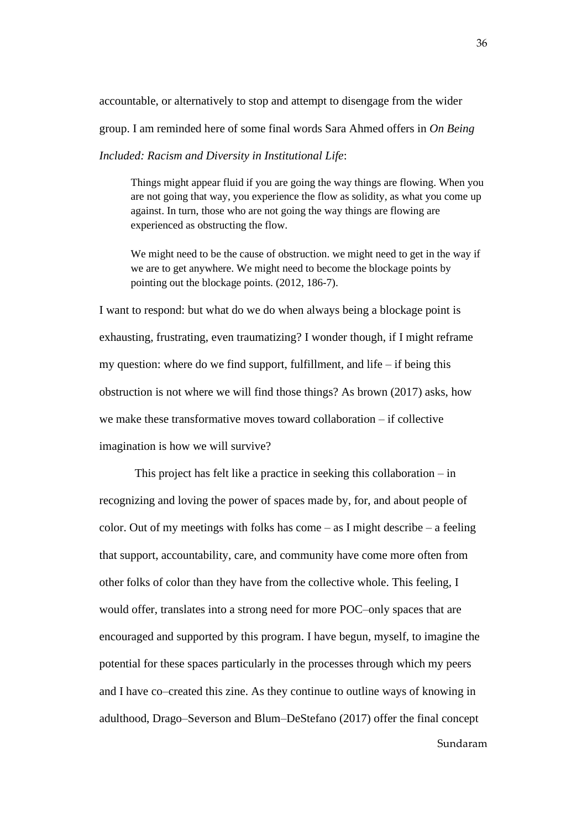accountable, or alternatively to stop and attempt to disengage from the wider group. I am reminded here of some final words Sara Ahmed offers in *On Being* 

*Included: Racism and Diversity in Institutional Life*:

Things might appear fluid if you are going the way things are flowing. When you are not going that way, you experience the flow as solidity, as what you come up against. In turn, those who are not going the way things are flowing are experienced as obstructing the flow.

We might need to be the cause of obstruction. we might need to get in the way if we are to get anywhere. We might need to become the blockage points by pointing out the blockage points. (2012, 186-7).

I want to respond: but what do we do when always being a blockage point is exhausting, frustrating, even traumatizing? I wonder though, if I might reframe my question: where do we find support, fulfillment, and life – if being this obstruction is not where we will find those things? As brown (2017) asks, how we make these transformative moves toward collaboration – if collective imagination is how we will survive?

Sundaram This project has felt like a practice in seeking this collaboration – in recognizing and loving the power of spaces made by, for, and about people of color. Out of my meetings with folks has come  $-$  as I might describe  $-$  a feeling that support, accountability, care, and community have come more often from other folks of color than they have from the collective whole. This feeling, I would offer, translates into a strong need for more POC–only spaces that are encouraged and supported by this program. I have begun, myself, to imagine the potential for these spaces particularly in the processes through which my peers and I have co–created this zine. As they continue to outline ways of knowing in adulthood, Drago–Severson and Blum–DeStefano (2017) offer the final concept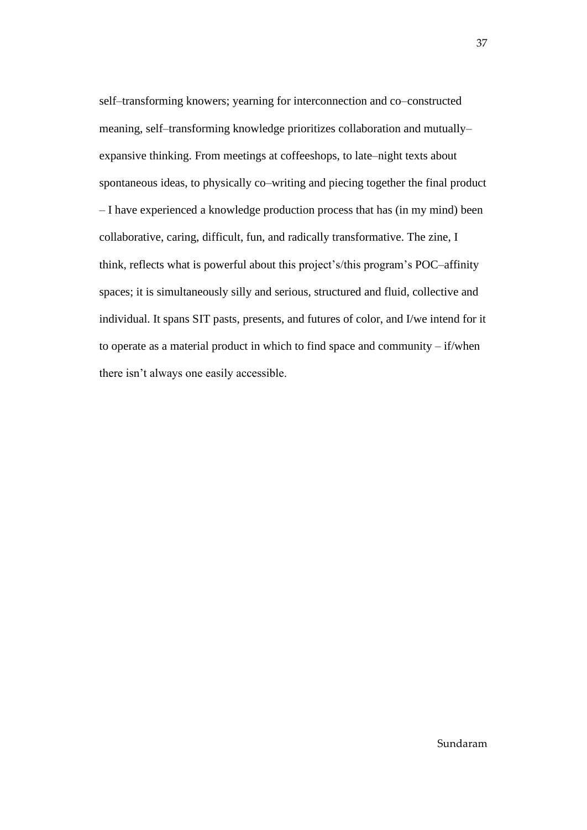self–transforming knowers; yearning for interconnection and co–constructed meaning, self–transforming knowledge prioritizes collaboration and mutually– expansive thinking. From meetings at coffeeshops, to late–night texts about spontaneous ideas, to physically co–writing and piecing together the final product – I have experienced a knowledge production process that has (in my mind) been collaborative, caring, difficult, fun, and radically transformative. The zine, I think, reflects what is powerful about this project's/this program's POC–affinity spaces; it is simultaneously silly and serious, structured and fluid, collective and individual. It spans SIT pasts, presents, and futures of color, and I/we intend for it to operate as a material product in which to find space and community – if/when there isn't always one easily accessible.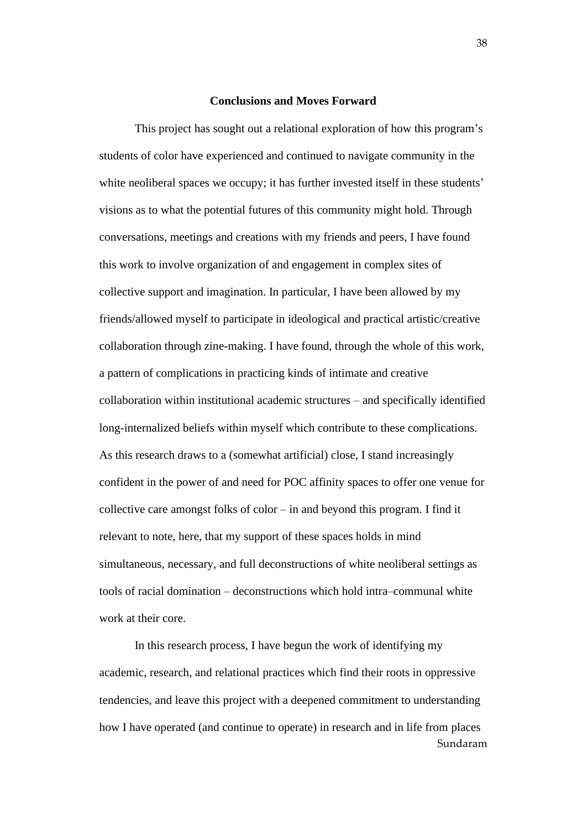#### **Conclusions and Moves Forward**

<span id="page-43-0"></span>This project has sought out a relational exploration of how this program's students of color have experienced and continued to navigate community in the white neoliberal spaces we occupy; it has further invested itself in these students' visions as to what the potential futures of this community might hold. Through conversations, meetings and creations with my friends and peers, I have found this work to involve organization of and engagement in complex sites of collective support and imagination. In particular, I have been allowed by my friends/allowed myself to participate in ideological and practical artistic/creative collaboration through zine-making. I have found, through the whole of this work, a pattern of complications in practicing kinds of intimate and creative collaboration within institutional academic structures – and specifically identified long-internalized beliefs within myself which contribute to these complications. As this research draws to a (somewhat artificial) close, I stand increasingly confident in the power of and need for POC affinity spaces to offer one venue for collective care amongst folks of color – in and beyond this program. I find it relevant to note, here, that my support of these spaces holds in mind simultaneous, necessary, and full deconstructions of white neoliberal settings as tools of racial domination – deconstructions which hold intra–communal white work at their core.

Sundaram In this research process, I have begun the work of identifying my academic, research, and relational practices which find their roots in oppressive tendencies, and leave this project with a deepened commitment to understanding how I have operated (and continue to operate) in research and in life from places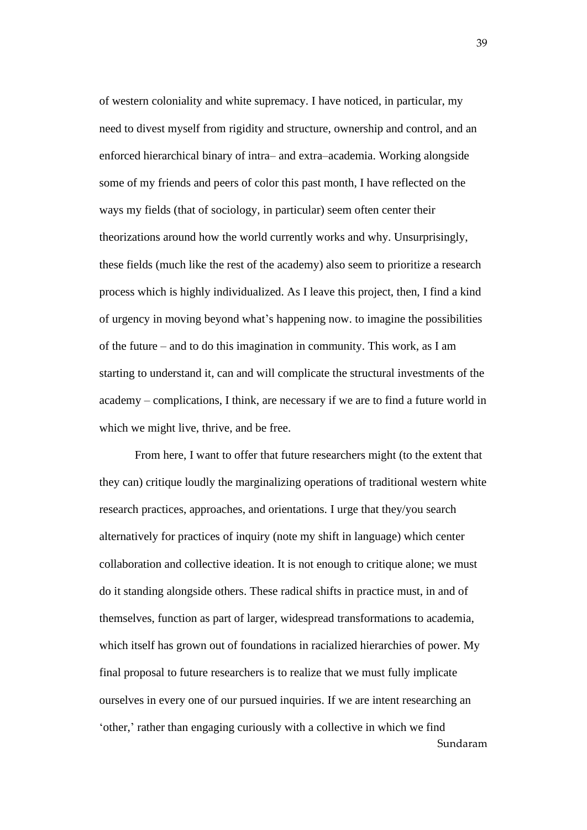of western coloniality and white supremacy. I have noticed, in particular, my need to divest myself from rigidity and structure, ownership and control, and an enforced hierarchical binary of intra– and extra–academia. Working alongside some of my friends and peers of color this past month, I have reflected on the ways my fields (that of sociology, in particular) seem often center their theorizations around how the world currently works and why. Unsurprisingly, these fields (much like the rest of the academy) also seem to prioritize a research process which is highly individualized. As I leave this project, then, I find a kind of urgency in moving beyond what's happening now. to imagine the possibilities of the future – and to do this imagination in community. This work, as I am starting to understand it, can and will complicate the structural investments of the academy – complications, I think, are necessary if we are to find a future world in which we might live, thrive, and be free.

Sundaram From here, I want to offer that future researchers might (to the extent that they can) critique loudly the marginalizing operations of traditional western white research practices, approaches, and orientations. I urge that they/you search alternatively for practices of inquiry (note my shift in language) which center collaboration and collective ideation. It is not enough to critique alone; we must do it standing alongside others. These radical shifts in practice must, in and of themselves, function as part of larger, widespread transformations to academia, which itself has grown out of foundations in racialized hierarchies of power. My final proposal to future researchers is to realize that we must fully implicate ourselves in every one of our pursued inquiries. If we are intent researching an 'other,' rather than engaging curiously with a collective in which we find

39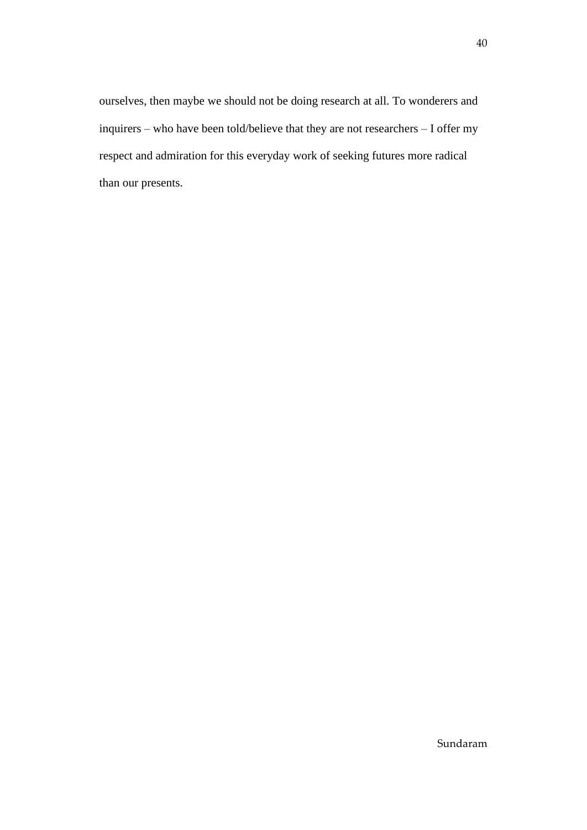ourselves, then maybe we should not be doing research at all. To wonderers and inquirers – who have been told/believe that they are not researchers – I offer my respect and admiration for this everyday work of seeking futures more radical than our presents.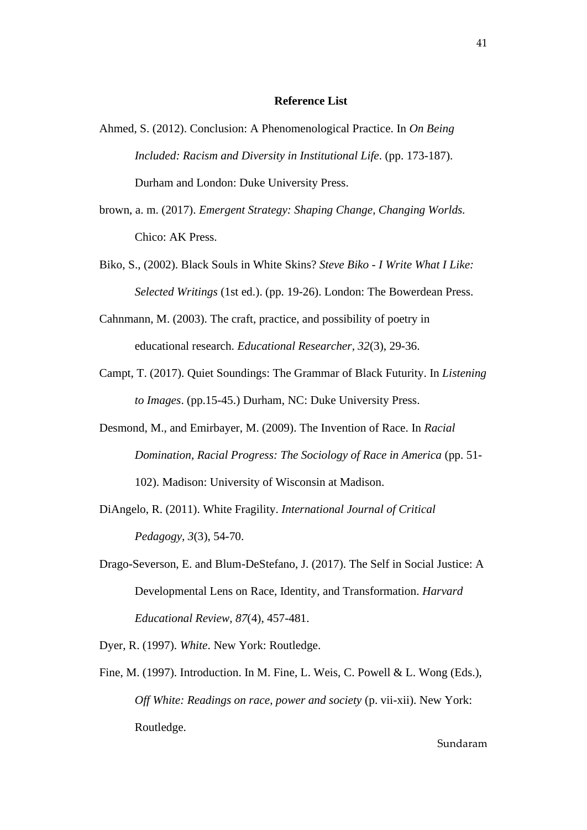#### **Reference List**

- Ahmed, S. (2012). Conclusion: A Phenomenological Practice. In *On Being Included: Racism and Diversity in Institutional Life*. (pp. 173-187). Durham and London: Duke University Press.
- brown, a. m. (2017). *Emergent Strategy: Shaping Change, Changing Worlds.* Chico: AK Press.
- Biko, S., (2002). Black Souls in White Skins? *Steve Biko - I Write What I Like: Selected Writings* (1st ed.). (pp. 19-26). London: The Bowerdean Press.
- Cahnmann, M. (2003). The craft, practice, and possibility of poetry in educational research. *Educational Researcher, 32*(3), 29-36.
- Campt, T. (2017). Quiet Soundings: The Grammar of Black Futurity. In *Listening to Images*. (pp.15-45.) Durham, NC: Duke University Press.
- Desmond, M., and Emirbayer, M. (2009). The Invention of Race. In *Racial Domination, Racial Progress: The Sociology of Race in America* (pp. 51- 102). Madison: University of Wisconsin at Madison.
- DiAngelo, R. (2011). White Fragility. *International Journal of Critical Pedagogy, 3*(3), 54-70.
- Drago-Severson, E. and Blum-DeStefano, J. (2017). The Self in Social Justice: A Developmental Lens on Race, Identity, and Transformation. *Harvard Educational Review, 87*(4), 457-481.
- Dyer, R. (1997). *White*. New York: Routledge.
- Fine, M. (1997). Introduction. In M. Fine, L. Weis, C. Powell & L. Wong (Eds.), *Off White: Readings on race, power and society* (p. vii-xii). New York: Routledge.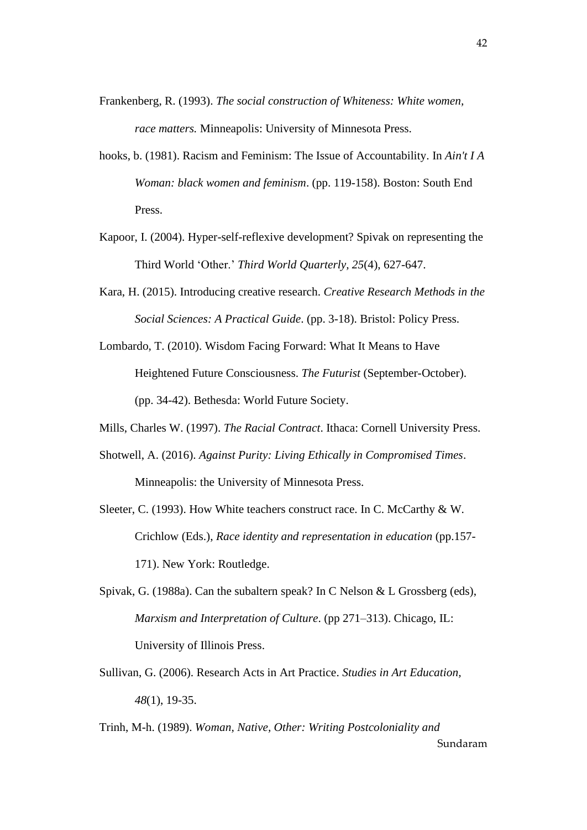- Frankenberg, R. (1993). *The social construction of Whiteness: White women, race matters.* Minneapolis: University of Minnesota Press.
- hooks, b. (1981). Racism and Feminism: The Issue of Accountability. In *Ain't I A Woman: black women and feminism*. (pp. 119-158). Boston: South End Press.
- Kapoor, I. (2004). Hyper-self-reflexive development? Spivak on representing the Third World 'Other.' *Third World Quarterly, 25*(4), 627-647.
- Kara, H. (2015). Introducing creative research. *Creative Research Methods in the Social Sciences: A Practical Guide*. (pp. 3-18). Bristol: Policy Press.
- Lombardo, T. (2010). Wisdom Facing Forward: What It Means to Have Heightened Future Consciousness. *The Futurist* (September-October). (pp. 34-42). Bethesda: World Future Society.
- Mills, Charles W. (1997). *The Racial Contract*. Ithaca: Cornell University Press.
- Shotwell, A. (2016). *Against Purity: Living Ethically in Compromised Times*. Minneapolis: the University of Minnesota Press.
- Sleeter, C. (1993). How White teachers construct race. In C. McCarthy & W. Crichlow (Eds.), *Race identity and representation in education* (pp.157- 171). New York: Routledge.
- Spivak, G. (1988a). Can the subaltern speak? In C Nelson & L Grossberg (eds), *Marxism and Interpretation of Culture*. (pp 271–313). Chicago, IL: University of Illinois Press.
- Sullivan, G. (2006). Research Acts in Art Practice. *Studies in Art Education, 48*(1), 19-35.
- Sundaram Trinh, M-h. (1989). *Woman, Native, Other: Writing Postcoloniality and*